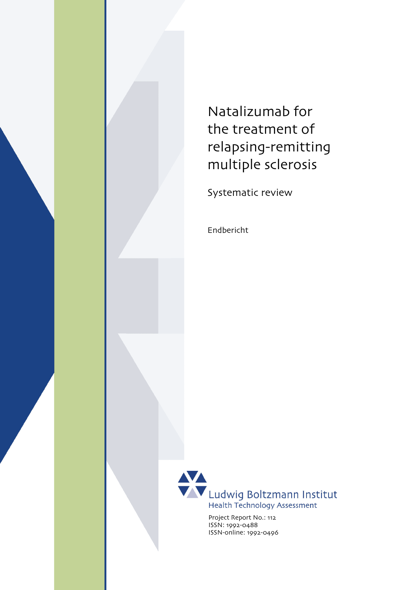

Systematic review

Endbericht



ISSN: 1992-0488 ISSN-online: 1992-0496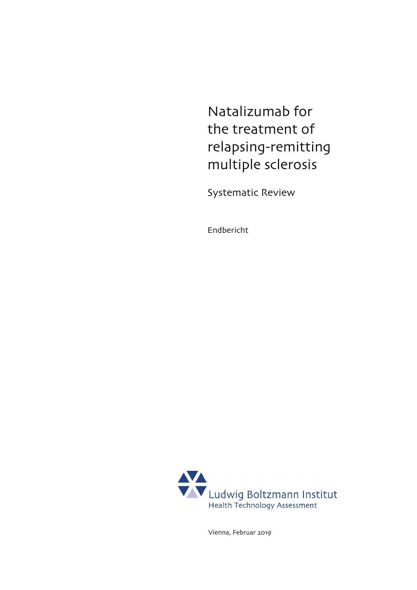Natalizumab for the treatment of relapsing-remitting multiple sclerosis

Systematic Review

Endbericht



Vienna, Februar 2019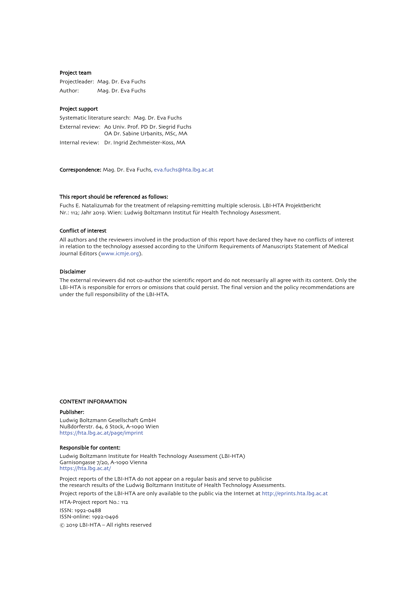#### Project team

Projectleader: Mag. Dr. Eva Fuchs Author: Mag. Dr. Eva Fuchs

#### Project support

Systematic literature search: Mag. Dr. Eva Fuchs External review: Ao Univ. Prof. PD Dr. Siegrid Fuchs OA Dr. Sabine Urbanits, MSc, MA Internal review: Dr. Ingrid Zechmeister-Koss, MA

Correspondence: Mag. Dr. Eva Fuchs, [eva.fuchs@hta.lbg.ac.at](mailto:eva.fuchs@hta.lbg.ac.at)

#### This report should be referenced as follows:

Fuchs E. Natalizumab for the treatment of relapsing-remitting multiple sclerosis. LBI-HTA Projektbericht Nr.: 112; Jahr 2019. Wien: Ludwig Boltzmann Institut für Health Technology Assessment.

#### Conflict of interest

All authors and the reviewers involved in the production of this report have declared they have no conflicts of interest in relation to the technology assessed according to the Uniform Requirements of Manuscripts Statement of Medical Journal Editors [\(www.icmje.org\)](http://www.icmje.org/).

#### Disclaimer

The external reviewers did not co-author the scientific report and do not necessarily all agree with its content. Only the LBI-HTA is responsible for errors or omissions that could persist. The final version and the policy recommendations are under the full responsibility of the LBI-HTA.

#### CONTENT INFORMATION

#### Publisher:

Ludwig Boltzmann Gesellschaft GmbH Nußdorferstr. 64, 6 Stock, A-1090 Wien <https://hta.lbg.ac.at/page/imprint>

#### Responsible for content:

Ludwig Boltzmann Institute for Health Technology Assessment (LBI-HTA) Garnisongasse 7/20, A-1090 Vienna <https://hta.lbg.ac.at/>

Project reports of the LBI-HTA do not appear on a regular basis and serve to publicise the research results of the Ludwig Boltzmann Institute of Health Technology Assessments. Project reports of the LBI-HTA are only available to the public via the Internet a[t http://eprints.hta.lbg.ac.at](http://eprints.hta.lbg.ac.at/) HTA-Project report No.: 112 ISSN: 1992-0488

ISSN-online: 1992-0496 © 2019 LBI-HTA – All rights reserved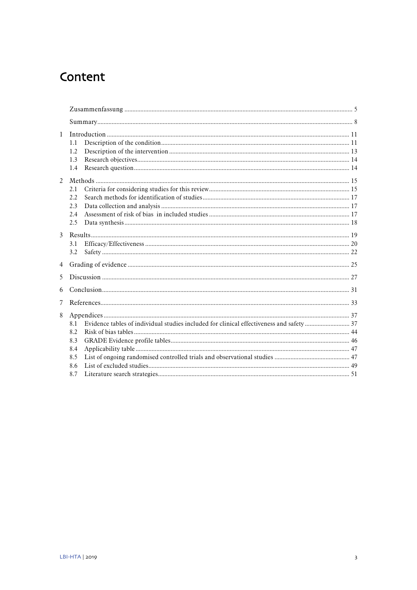# Content

| $\mathbf{1}$   | 1.1<br>1.2<br>1.3<br>1.4               |  |  |
|----------------|----------------------------------------|--|--|
| $\mathfrak{D}$ | 2.1<br>2.2<br>2.3<br>2.4<br>2.5        |  |  |
| $\mathbf{3}$   | 3.1<br>3.2                             |  |  |
| $\overline{4}$ |                                        |  |  |
| 5              |                                        |  |  |
| 6              |                                        |  |  |
| 7              |                                        |  |  |
| 8              | 8.1<br>8.2<br>8.3<br>8.4<br>8.5<br>8.6 |  |  |
| 8.7            |                                        |  |  |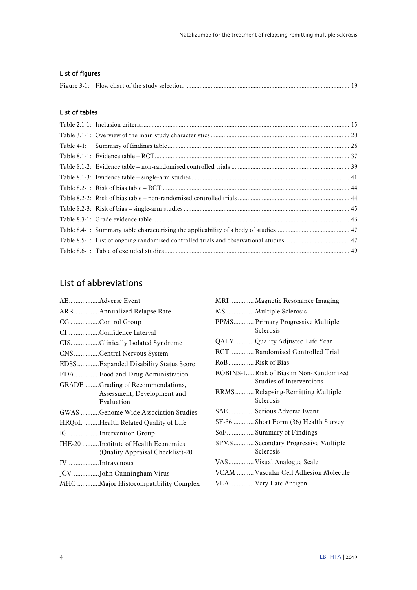## List of figures

## List of tables

## List of abbreviations

|               | AEAdverse Event                                                               | MRI              |
|---------------|-------------------------------------------------------------------------------|------------------|
|               | ARRAnnualized Relapse Rate                                                    | MS               |
|               | CG Control Group                                                              | PPM              |
|               | CIConfidence Interval                                                         |                  |
|               | CISClinically Isolated Syndrome                                               | QAL              |
|               | CNSCentral Nervous System                                                     | <b>RCT</b>       |
|               | EDSSExpanded Disability Status Score                                          | RoB.             |
|               | FDAFood and Drug Administration                                               | ROB <sub>3</sub> |
|               | GRADEGrading of Recommendations,<br>Assessment, Development and<br>Evaluation | RRM              |
|               | GWAS Genome Wide Association Studies                                          | SAE.             |
|               | HRQoL Health Related Quality of Life                                          | $SF-30$          |
|               | IGIntervention Group                                                          | SoF              |
|               | IHE-20 Institute of Health Economics<br>(Quality Appraisal Checklist)-20      | <b>SPM</b>       |
| IVIntravenous |                                                                               | VAS.             |
|               | JCVJohn Cunningham Virus                                                      | VCA              |
|               | MHC Major Histocompatibility Complex                                          | VLA              |

|                   | MRI  Magnetic Resonance Imaging                                     |
|-------------------|---------------------------------------------------------------------|
|                   | MS Multiple Sclerosis                                               |
|                   | PPMS Primary Progressive Multiple<br>Sclerosis                      |
|                   | QALY  Quality Adjusted Life Year                                    |
|                   | RCT Randomised Controlled Trial                                     |
| RoB  Risk of Bias |                                                                     |
|                   | ROBINS-I Risk of Bias in Non-Randomized<br>Studies of Interventions |
|                   | RRMS Relapsing-Remitting Multiple<br>Sclerosis                      |
|                   | SAE Serious Adverse Event                                           |
|                   | SF-36  Short Form (36) Health Survey                                |
|                   | SoF Summary of Findings                                             |
|                   | SPMS Secondary Progressive Multiple<br>Sclerosis                    |
|                   | VAS Visual Analogue Scale                                           |
|                   | VCAM  Vascular Cell Adhesion Molecule                               |
|                   | VLA  Very Late Antigen                                              |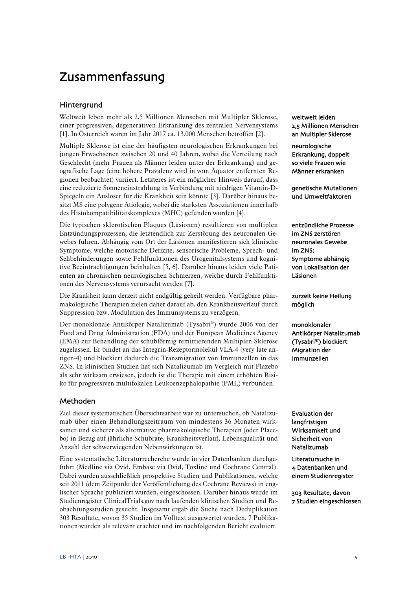# <span id="page-6-0"></span>Zusammenfassung

## **Hintergrund**

Weltweit leben mehr als 2,5 Millionen Menschen mit Multipler Sklerose, einer progressiven, degenerativen Erkrankung des zentralen Nervensystems [\[1\]](#page-34-1). In Österreich waren im Jahr 2017 ca. 13.000 Menschen betroffen [\[2\]](#page-34-2).

Multiple Sklerose ist eine der häufigsten neurologischen Erkrankungen bei jungen Erwachsenen zwischen 20 und 40 Jahren, wobei die Verteilung nach Geschlecht (mehr Frauen als Männer leiden unter der Erkrankung) und geografische Lage (eine höhere Prävalenz wird in vom Äquator entfernten Regionen beobachtet) variiert. Letzteres ist ein möglicher Hinweis darauf, dass eine reduzierte Sonneneinstrahlung in Verbindung mit niedrigen Vitamin-D-Spiegeln ein Auslöser für die Krankheit sein könnte [\[3\]](#page-34-3). Darüber hinaus besitzt MS eine polygene Ätiologie, wobei die stärksten Assoziationen innerhalb des Histokompatibilitätskomplexes (MHC) gefunden wurden [\[4\]](#page-34-4).

Die typischen sklerotischen Plaques (Läsionen) resultieren von multiplen Entzündungsprozessen, die letztendlich zur Zerstörung des neuronalen Gewebes führen. Abhängig vom Ort der Läsionen manifestieren sich klinische Symptome, welche motorische Defizite, sensorische Probleme, Sprech- und Sehbehinderungen sowie Fehlfunktionen des Urogenitalsystems und kognitive Beeinträchtigungen beinhalten [\[5,](#page-34-5) [6\]](#page-34-6). Darüber hinaus leiden viele Patienten an chronischen neurologischen Schmerzen, welche durch Fehlfunktionen des Nervensystems verursacht werden [\[7\]](#page-34-7).

Die Krankheit kann derzeit nicht endgültig geheilt werden. Verfügbare pharmakologische Therapien zielen daher darauf ab, den Krankheitsverlauf durch Suppression bzw. Modulation des Immunsystems zu verzögern.

Der monoklonale Antikörper Natalizumab (Tysabri®) wurde 2006 von der Food and Drug Administration (FDA) und der European Medicines Agency (EMA) zur Behandlung der schubförmig remittierenden Multiplen Sklerose zugelassen. Er bindet an das Integrin-Rezeptormolekül VLA-4 (very late antigen-4) und blockiert dadurch die Transmigration von Immunzellen in das ZNS. In klinischen Studien hat sich Natalizumab im Vergleich mit Plazebo als sehr wirksam erwiesen, jedoch ist die Therapie mit einem erhöhten Risiko für progressiven multifokalen Leukoenzephalopathie (PML) verbunden.

## Methoden

Ziel dieser systematischen Übersichtsarbeit war zu untersuchen, ob Natalizumab über einen Behandlungszeitraum von mindestens 36 Monaten wirksamer und sicherer als alternative pharmakologische Therapien (oder Placebo) in Bezug auf jährliche Schubrate, Krankheitsverlauf, Lebensqualität und Anzahl der schwerwiegenden Nebenwirkungen ist.

Eine systematische Literaturrecherche wurde in vier Datenbanken durchgeführt (Medline via Ovid, Embase via Ovid, Toxline und Cochrane Central). Dabei wurden ausschließlich prospektive Studien und Publikationen, welche seit 2011 (dem Zeitpunkt der Veröffentlichung des Cochrane Reviews) in englischer Sprache publiziert wurden, eingeschossen. Darüber hinaus wurde im Studienregister ClinicalTrials.gov nach laufenden klinischen Studien und Beobachtungsstudien gesucht. Insgesamt ergab die Suche nach Deduplikation 303 Resultate, wovon 35 Studien im Volltext ausgewertet wurden. 7 Publikationen wurden als relevant erachtet und im nachfolgenden Bericht evaluiert.

weltweit leiden 2,5 Millionen Menschen an Multipler Sklerose

neurologische Erkrankung, doppelt so viele Frauen wie Männer erkranken

genetische Mutationen und Umweltfaktoren

entzündliche Prozesse im ZNS zerstören neuronales Gewebe im ZNS; Symptome abhängig von Lokalisation der Läsionen

zurzeit keine Heilung möglich

monoklonaler Antikörper Natalizumab (Tysabri®) blockiert Migration der Immunzellen

Evaluation der langfristigen Wirksamkeit und Sicherheit von Natalizumab

Literatursuche in 4 Datenbanken und einem Studienregister

303 Resultate, davon 7 Studien eingeschlossen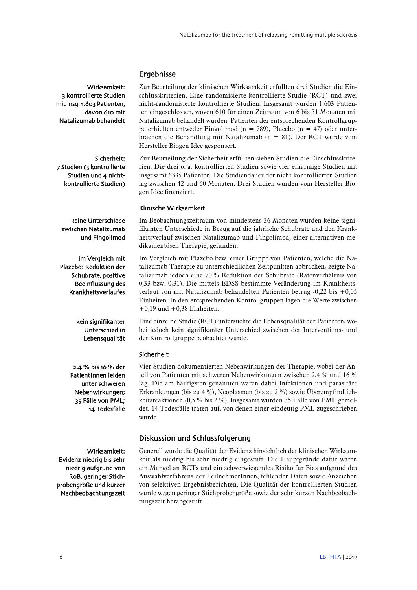## Ergebnisse

Zur Beurteilung der klinischen Wirksamkeit erfüllten drei Studien die Einschlusskriterien. Eine randomisierte kontrollierte Studie (RCT) und zwei nicht-randomisierte kontrollierte Studien. Insgesamt wurden 1.603 Patienten eingeschlossen, wovon 610 für einen Zeitraum von 6 bis 51 Monaten mit Natalizumab behandelt wurden. Patienten der entsprechenden Kontrollgruppe erhielten entweder Fingolimod (n = 789), Placebo (n = 47) oder unterbrachen die Behandlung mit Natalizumab (n = 81). Der RCT wurde vom Hersteller Biogen Idec gesponsert.

Zur Beurteilung der Sicherheit erfüllten sieben Studien die Einschlusskriterien. Die drei o. a. kontrollierten Studien sowie vier einarmige Studien mit insgesamt 6335 Patienten. Die Studiendauer der nicht kontrollierten Studien lag zwischen 42 und 60 Monaten. Drei Studien wurden vom Hersteller Biogen Idec finanziert.

#### Klinische Wirksamkeit

Im Beobachtungszeitraum von mindestens 36 Monaten wurden keine signifikanten Unterschiede in Bezug auf die jährliche Schubrate und den Krankheitsverlauf zwischen Natalizumab und Fingolimod, einer alternativen medikamentösen Therapie, gefunden.

Im Vergleich mit Plazebo bzw. einer Gruppe von Patienten, welche die Natalizumab-Therapie zu unterschiedlichen Zeitpunkten abbrachen, zeigte Natalizumab jedoch eine 70 % Reduktion der Schubrate (Ratenverhältnis von 0,33 bzw. 0,31). Die mittels EDSS bestimmte Veränderung im Krankheitsverlauf von mit Natalizumab behandelten Patienten betrug -0,22 bis +0,05 Einheiten. In den entsprechenden Kontrollgruppen lagen die Werte zwischen  $+0,19$  und  $+0,38$  Einheiten.

Eine einzelne Studie (RCT) untersuchte die Lebensqualität der Patienten, wobei jedoch kein signifikanter Unterschied zwischen der Interventions- und der Kontrollgruppe beobachtet wurde.

#### Sicherheit

Vier Studien dokumentierten Nebenwirkungen der Therapie, wobei der Anteil von Patienten mit schweren Nebenwirkungen zwischen 2,4 % und 16 % lag. Die am häufigsten genannten waren dabei Infektionen und parasitäre Erkrankungen (bis zu 4 %), Neoplasmen (bis zu 2 %) sowie Überempfindlichkeitsreaktionen (0,5 % bis 2 %). Insgesamt wurden 35 Fälle von PML gemeldet. 14 Todesfälle traten auf, von denen einer eindeutig PML zugeschrieben wurde.

## Diskussion und Schlussfolgerung

Generell wurde die Qualität der Evidenz hinsichtlich der klinischen Wirksamkeit als niedrig bis sehr niedrig eingestuft. Die Hauptgründe dafür waren ein Mangel an RCTs und ein schwerwiegendes Risiko für Bias aufgrund des Auswahlverfahrens der TeilnehmerInnen, fehlender Daten sowie Anzeichen von selektiven Ergebnisberichten. Die Qualität der kontrollierten Studien wurde wegen geringer Stichprobengröße sowie der sehr kurzen Nachbeobachtungszeit herabgestuft.

Wirksamkeit: 3 kontrollierte Studien mit insg. 1.603 Patienten, davon 610 mit Natalizumab behandelt

Sicherheit: 7 Studien (3 kontrollierte Studien und 4 nichtkontrollierte Studien)

keine Unterschiede zwischen Natalizumab und Fingolimod

im Vergleich mit Plazebo: Reduktion der Schubrate, positive Beeinflussung des Krankheitsverlaufes

> kein signifikanter Unterschied in Lebensqualität

2.4 % bis 16 % der PatientInnen leiden unter schweren Nebenwirkungen; 35 Fälle von PML; 14 Todesfälle

Wirksamkeit: Evidenz niedrig bis sehr niedrig aufgrund von RoB, geringer Stichprobengröße und kurzer Nachbeobachtungszeit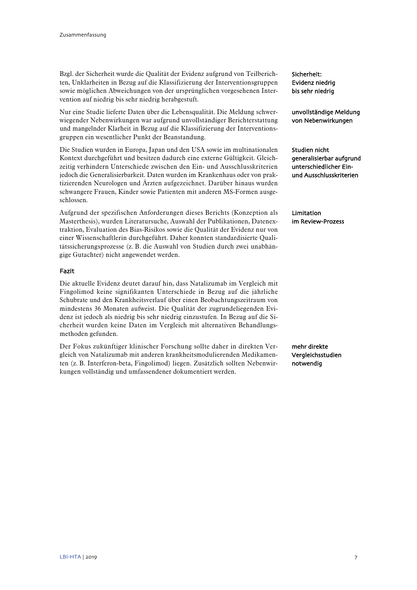Bzgl. der Sicherheit wurde die Qualität der Evidenz aufgrund von Teilberichten, Unklarheiten in Bezug auf die Klassifizierung der Interventionsgruppen sowie möglichen Abweichungen von der ursprünglichen vorgesehenen Intervention auf niedrig bis sehr niedrig herabgestuft.

Nur eine Studie lieferte Daten über die Lebensqualität. Die Meldung schwerwiegender Nebenwirkungen war aufgrund unvollständiger Berichterstattung und mangelnder Klarheit in Bezug auf die Klassifizierung der Interventionsgruppen ein wesentlicher Punkt der Beanstandung.

Die Studien wurden in Europa, Japan und den USA sowie im multinationalen Kontext durchgeführt und besitzen dadurch eine externe Gültigkeit. Gleichzeitig verhindern Unterschiede zwischen den Ein- und Ausschlusskriterien jedoch die Generalisierbarkeit. Daten wurden im Krankenhaus oder von praktizierenden Neurologen und Ärzten aufgezeichnet. Darüber hinaus wurden schwangere Frauen, Kinder sowie Patienten mit anderen MS-Formen ausgeschlossen.

Aufgrund der spezifischen Anforderungen dieses Berichts (Konzeption als Masterthesis), wurden Literatursuche, Auswahl der Publikationen, Datenextraktion, Evaluation des Bias-Risikos sowie die Qualität der Evidenz nur von einer Wissenschaftlerin durchgeführt. Daher konnten standardisierte Qualitätssicherungsprozesse (z. B. die Auswahl von Studien durch zwei unabhängige Gutachter) nicht angewendet werden.

## Fazit

Die aktuelle Evidenz deutet darauf hin, dass Natalizumab im Vergleich mit Fingolimod keine signifikanten Unterschiede in Bezug auf die jährliche Schubrate und den Krankheitsverlauf über einen Beobachtungszeitraum von mindestens 36 Monaten aufweist. Die Qualität der zugrundeliegenden Evidenz ist jedoch als niedrig bis sehr niedrig einzustufen. In Bezug auf die Sicherheit wurden keine Daten im Vergleich mit alternativen Behandlungsmethoden gefunden.

Der Fokus zukünftiger klinischer Forschung sollte daher in direkten Vergleich von Natalizumab mit anderen krankheitsmodulierenden Medikamenten (z. B. Interferon-beta, Fingolimod) liegen. Zusätzlich sollten Nebenwirkungen vollständig und umfassendener dokumentiert werden.

Sicherheit: Evidenz niedrig bis sehr niedrig

unvollständige Meldung von Nebenwirkungen

Studien nicht generalisierbar aufgrund unterschiedlicher Einund Ausschlusskriterien

Limitation im Review-Prozess

mehr direkte Vergleichsstudien notwendig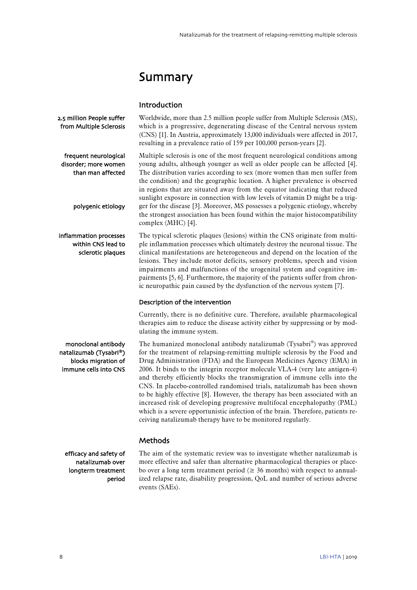# <span id="page-9-0"></span>Summary

| Introduction |
|--------------|
|              |

2.5 million People suffer from Multiple Sclerosis

frequent neurological disorder; more women than man affected

polygenic etiology

inflammation processes within CNS lead to sclerotic plaques

monoclonal antibody natalizumab (Tysabri®) blocks migration of immune cells into CNS Multiple sclerosis is one of the most frequent neurological conditions among young adults, although younger as well as older people can be affected [\[4\]](#page-34-4). The distribution varies according to sex (more women than men suffer from the condition) and the geographic location. A higher prevalence is observed in regions that are situated away from the equator indicating that reduced sunlight exposure in connection with low levels of vitamin D might be a trigger for the disease [\[3\]](#page-34-3). Moreover, MS possesses a polygenic etiology, whereby the strongest association has been found within the major histocompatibility complex (MHC) [\[4\]](#page-34-4).

Worldwide, more than 2.5 million people suffer from Multiple Sclerosis (MS), which is a progressive, degenerating disease of the Central nervous system (CNS) [\[1\]](#page-34-1). In Austria, approximately 13,000 individuals were affected in 2017,

resulting in a prevalence ratio of 159 per 100,000 person-years [\[2\]](#page-34-2).

The typical sclerotic plaques (lesions) within the CNS originate from multiple inflammation processes which ultimately destroy the neuronal tissue. The clinical manifestations are heterogeneous and depend on the location of the lesions. They include motor deficits, sensory problems, speech and vision impairments and malfunctions of the urogenital system and cognitive impairments [\[5,](#page-34-5) [6\]](#page-34-6). Furthermore, the majority of the patients suffer from chronic neuropathic pain caused by the dysfunction of the nervous system [\[7\]](#page-34-7).

## Description of the intervention

Currently, there is no definitive cure. Therefore, available pharmacological therapies aim to reduce the disease activity either by suppressing or by modulating the immune system.

The humanized monoclonal antibody natalizumab (Tysabri®) was approved for the treatment of relapsing-remitting multiple sclerosis by the Food and Drug Administration (FDA) and the European Medicines Agency (EMA) in 2006. It binds to the integrin receptor molecule VLA-4 (very late antigen-4) and thereby efficiently blocks the transmigration of immune cells into the CNS. In placebo-controlled randomised trials, natalizumab has been shown to be highly effective [\[8\]](#page-34-8). However, the therapy has been associated with an increased risk of developing progressive multifocal encephalopathy (PML) which is a severe opportunistic infection of the brain. Therefore, patients receiving natalizumab therapy have to be monitored regularly.

## **Methods**

efficacy and safety of natalizumab over longterm treatment period The aim of the systematic review was to investigate whether natalizumab is more effective and safer than alternative pharmacological therapies or placebo over a long term treatment period ( $\geq$  36 months) with respect to annualized relapse rate, disability progression, QoL and number of serious adverse events (SAEs).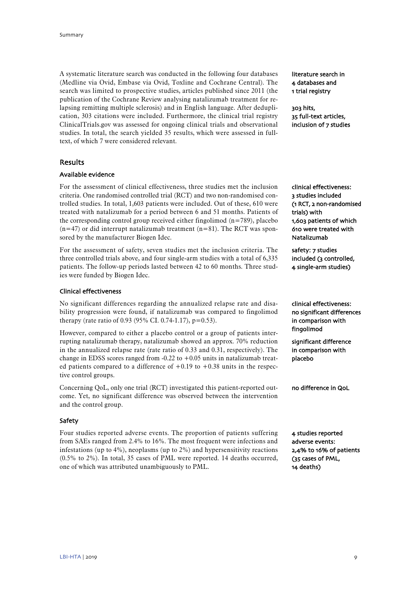A systematic literature search was conducted in the following four databases (Medline via Ovid, Embase via Ovid, Toxline and Cochrane Central). The search was limited to prospective studies, articles published since 2011 (the publication of the Cochrane Review analysing natalizumab treatment for relapsing remitting multiple sclerosis) and in English language. After deduplication, 303 citations were included. Furthermore, the clinical trial registry ClinicalTrials.gov was assessed for ongoing clinical trials and observational studies. In total, the search yielded 35 results, which were assessed in fulltext, of which 7 were considered relevant.

## Results

## Available evidence

For the assessment of clinical effectiveness, three studies met the inclusion criteria. One randomised controlled trial (RCT) and two non-randomised controlled studies. In total, 1,603 patients were included. Out of these, 610 were treated with natalizumab for a period between 6 and 51 months. Patients of the corresponding control group received either fingolimod  $(n=789)$ , placebo  $(n=47)$  or did interrupt natalizumab treatment  $(n=81)$ . The RCT was sponsored by the manufacturer Biogen Idec.

For the assessment of safety, seven studies met the inclusion criteria. The three controlled trials above, and four single-arm studies with a total of 6,335 patients. The follow-up periods lasted between 42 to 60 months. Three studies were funded by Biogen Idec.

## Clinical effectiveness

No significant differences regarding the annualized relapse rate and disability progression were found, if natalizumab was compared to fingolimod therapy (rate ratio of 0.93 (95% CI. 0.74-1.17),  $p=0.53$ ).

However, compared to either a placebo control or a group of patients interrupting natalizumab therapy, natalizumab showed an approx. 70% reduction in the annualized relapse rate (rate ratio of 0.33 and 0.31, respectively). The change in EDSS scores ranged from  $-0.22$  to  $+0.05$  units in natalizumab treated patients compared to a difference of  $+0.19$  to  $+0.38$  units in the respective control groups.

Concerning QoL, only one trial (RCT) investigated this patient-reported outcome. Yet, no significant difference was observed between the intervention and the control group.

#### Safety

Four studies reported adverse events. The proportion of patients suffering from SAEs ranged from 2.4% to 16%. The most frequent were infections and infestations (up to 4%), neoplasms (up to 2%) and hypersensitivity reactions (0.5% to 2%). In total, 35 cases of PML were reported. 14 deaths occurred, one of which was attributed unambiguously to PML.

literature search in 4 databases and 1 trial registry

303 hits, 35 full-text articles, inclusion of 7 studies

clinical effectiveness: 3 studies included (1 RCT, 2 non-randomised trials) with 1,603 patients of which 610 were treated with Natalizumab

safety: 7 studies included (3 controlled, 4 single-arm studies)

clinical effectiveness: no significant differences in comparison with fingolimod

significant difference in comparison with placebo

no difference in QoL

4 studies reported adverse events: 2,4% to 16% of patients (35 cases of PML, 14 deaths)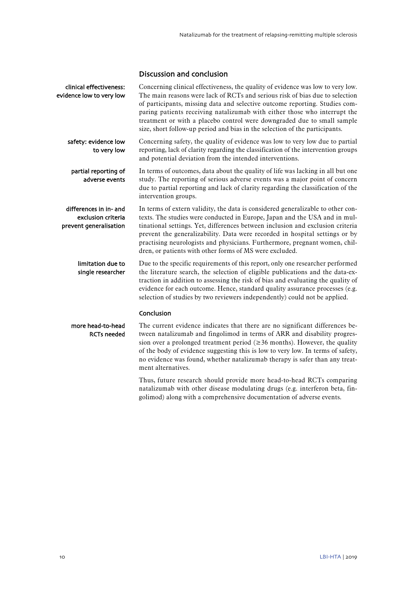## Discussion and conclusion

| clinical effectiveness:<br>evidence low to very low                    | Concerning clinical effectiveness, the quality of evidence was low to very low.<br>The main reasons were lack of RCTs and serious risk of bias due to selection<br>of participants, missing data and selective outcome reporting. Studies com-<br>paring patients receiving natalizumab with either those who interrupt the<br>treatment or with a placebo control were downgraded due to small sample<br>size, short follow-up period and bias in the selection of the participants. |
|------------------------------------------------------------------------|---------------------------------------------------------------------------------------------------------------------------------------------------------------------------------------------------------------------------------------------------------------------------------------------------------------------------------------------------------------------------------------------------------------------------------------------------------------------------------------|
| safety: evidence low<br>to very low                                    | Concerning safety, the quality of evidence was low to very low due to partial<br>reporting, lack of clarity regarding the classification of the intervention groups<br>and potential deviation from the intended interventions.                                                                                                                                                                                                                                                       |
| partial reporting of<br>adverse events                                 | In terms of outcomes, data about the quality of life was lacking in all but one<br>study. The reporting of serious adverse events was a major point of concern<br>due to partial reporting and lack of clarity regarding the classification of the<br>intervention groups.                                                                                                                                                                                                            |
| differences in in- and<br>exclusion criteria<br>prevent generalisation | In terms of extern validity, the data is considered generalizable to other con-<br>texts. The studies were conducted in Europe, Japan and the USA and in mul-<br>tinational settings. Yet, differences between inclusion and exclusion criteria<br>prevent the generalizability. Data were recorded in hospital settings or by<br>practising neurologists and physicians. Furthermore, pregnant women, chil-<br>dren, or patients with other forms of MS were excluded.               |
| limitation due to<br>single researcher                                 | Due to the specific requirements of this report, only one researcher performed<br>the literature search, the selection of eligible publications and the data-ex-<br>traction in addition to assessing the risk of bias and evaluating the quality of<br>evidence for each outcome. Hence, standard quality assurance processes (e.g.<br>selection of studies by two reviewers independently) could not be applied.                                                                    |
| more head-to-head<br><b>RCTs needed</b>                                | Conclusion<br>The current evidence indicates that there are no significant differences be-<br>tween natalizumab and fingolimod in terms of ARR and disability progres-<br>sion over a prolonged treatment period ( $\geq$ 36 months). However, the quality<br>of the body of evidence suggesting this is low to very low. In terms of safety,<br>no evidence was found, whether natalizumab therapy is safer than any treat-<br>ment alternatives.                                    |
|                                                                        |                                                                                                                                                                                                                                                                                                                                                                                                                                                                                       |

Thus, future research should provide more head-to-head RCTs comparing natalizumab with other disease modulating drugs (e.g. interferon beta, fingolimod) along with a comprehensive documentation of adverse events.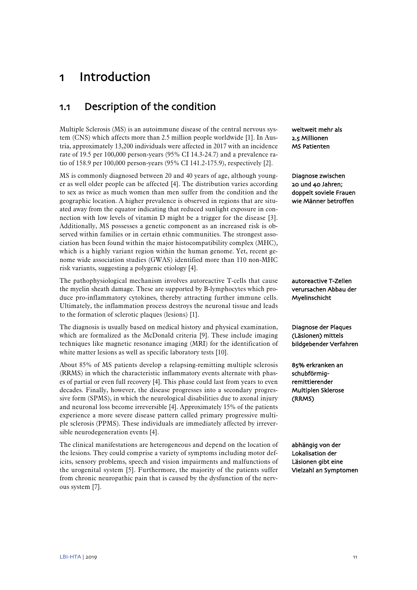# <span id="page-12-0"></span>1 Introduction

## <span id="page-12-1"></span>1.1 Description of the condition

Multiple Sclerosis (MS) is an autoimmune disease of the central nervous system (CNS) which affects more than 2.5 million people worldwide [\[1\]](#page-34-1). In Austria, approximately 13,200 individuals were affected in 2017 with an incidence rate of 19.5 per 100,000 person-years (95% CI 14.3-24.7) and a prevalence ratio of 158.9 per 100,000 person-years (95% CI 141.2-175.9), respectively [\[2\]](#page-34-2).

MS is commonly diagnosed between 20 and 40 years of age, although younger as well older people can be affected [\[4\]](#page-34-4). The distribution varies according to sex as twice as much women than men suffer from the condition and the geographic location. A higher prevalence is observed in regions that are situated away from the equator indicating that reduced sunlight exposure in connection with low levels of vitamin D might be a trigger for the disease [\[3\]](#page-34-3). Additionally, MS possesses a genetic component as an increased risk is observed within families or in certain ethnic communities. The strongest association has been found within the major histocompatibility complex (MHC), which is a highly variant region within the human genome. Yet, recent genome wide association studies (GWAS) identified more than 110 non-MHC risk variants, suggesting a polygenic etiology [\[4\]](#page-34-4).

The pathophysiological mechanism involves autoreactive T-cells that cause the myelin sheath damage. These are supported by B-lymphocytes which produce pro-inflammatory cytokines, thereby attracting further immune cells. Ultimately, the inflammation process destroys the neuronal tissue and leads to the formation of sclerotic plaques (lesions) [\[1\]](#page-34-1).

The diagnosis is usually based on medical history and physical examination, which are formalized as the McDonald criteria [\[9\]](#page-34-9). These include imaging techniques like magnetic resonance imaging (MRI) for the identification of white matter lesions as well as specific laboratory tests [\[10\]](#page-34-10).

About 85% of MS patients develop a relapsing-remitting multiple sclerosis (RRMS) in which the characteristic inflammatory events alternate with phases of partial or even full recovery [\[4\]](#page-34-4). This phase could last from years to even decades. Finally, however, the disease progresses into a secondary progressive form (SPMS), in which the neurological disabilities due to axonal injury and neuronal loss become irreversible [\[4\]](#page-34-4). Approximately 15% of the patients experience a more severe disease pattern called primary progressive multiple sclerosis (PPMS). These individuals are immediately affected by irreversible neurodegeneration events [\[4\]](#page-34-4).

The clinical manifestations are heterogeneous and depend on the location of the lesions. They could comprise a variety of symptoms including motor deficits, sensory problems, speech and vision impairments and malfunctions of the urogenital system [\[5\]](#page-34-5). Furthermore, the majority of the patients suffer from chronic neuropathic pain that is caused by the dysfunction of the nervous system [\[7\]](#page-34-7).

weltweit mehr als 2.5 Millionen MS Patienten

Diagnose zwischen 20 und 40 Jahren; doppelt soviele Frauen wie Männer betroffen

autoreactive T-Zellen verursachen Abbau der Myelinschicht

Diagnose der Plaques (Läsionen) mittels bildgebender Verfahren

85% erkranken an schubförmigremittierender Multiplen Sklerose (RRMS)

abhängig von der Lokalisation der Läsionen gibt eine Vielzahl an Symptomen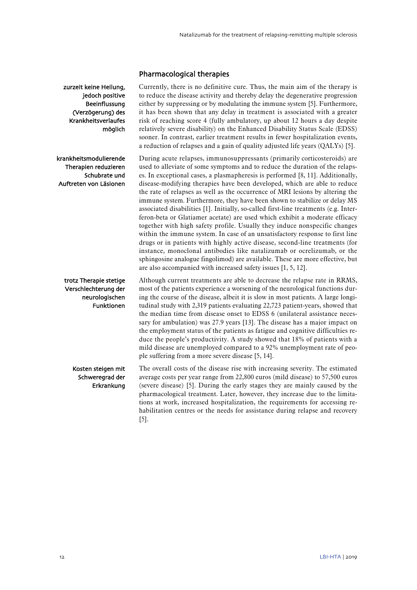## Pharmacological therapies

Currently, there is no definitive cure. Thus, the main aim of the therapy is to reduce the disease activity and thereby delay the degenerative progression either by suppressing or by modulating the immune system [\[5\]](#page-34-5). Furthermore, it has been shown that any delay in treatment is associated with a greater risk of reaching score 4 (fully ambulatory, up about 12 hours a day despite relatively severe disability) on the Enhanced Disability Status Scale (EDSS) sooner. In contrast, earlier treatment results in fewer hospitalization events, a reduction of relapses and a gain of quality adjusted life years (QALYs) [\[5\]](#page-34-5).

During acute relapses, immunosuppressants (primarily corticosteroids) are used to alleviate of some symptoms and to reduce the duration of the relapses. In exceptional cases, a plasmapheresis is performed [\[8,](#page-34-8) [11\]](#page-34-11). Additionally, disease-modifying therapies have been developed, which are able to reduce the rate of relapses as well as the occurrence of MRI lesions by altering the immune system. Furthermore, they have been shown to stabilize or delay MS associated disabilities [\[1\]](#page-34-1). Initially, so-called first-line treatments (e.g. Interferon-beta or Glatiamer acetate) are used which exhibit a moderate efficacy together with high safety profile. Usually they induce nonspecific changes within the immune system. In case of an unsatisfactory response to first line drugs or in patients with highly active disease, second-line treatments (for instance, monoclonal antibodies like natalizumab or ocrelizumab, or the sphingosine analogue fingolimod) are available. These are more effective, but are also accompanied with increased safety issues [\[1,](#page-34-1) [5,](#page-34-5) [12\]](#page-34-12).

Although current treatments are able to decrease the relapse rate in RRMS, most of the patients experience a worsening of the neurological functions during the course of the disease, albeit it is slow in most patients. A large longitudinal study with 2,319 patients evaluating 22,723 patient-years, showed that the median time from disease onset to EDSS 6 (unilateral assistance necessary for ambulation) was 27.9 years [\[13\]](#page-34-13). The disease has a major impact on the employment status of the patients as fatigue and cognitive difficulties reduce the people's productivity. A study showed that 18% of patients with a mild disease are unemployed compared to a 92% unemployment rate of people suffering from a more severe disease [\[5,](#page-34-5) [14\]](#page-34-14).

The overall costs of the disease rise with increasing severity. The estimated average costs per year range from 22,800 euros (mild disease) to 57,500 euros (severe disease) [\[5\]](#page-34-5). During the early stages they are mainly caused by the pharmacological treatment. Later, however, they increase due to the limitations at work, increased hospitalization, the requirements for accessing rehabilitation centres or the needs for assistance during relapse and recovery [\[5\]](#page-34-5).

zurzeit keine Heilung, jedoch positive Beeinflussung (Verzögerung) des Krankheitsverlaufes möglich

krankheitsmodulierende Therapien reduzieren Schubrate und Auftreten von Läsionen

## trotz Therapie stetige Verschlechterung der neurologischen Funktionen

Kosten steigen mit Schweregrad der Erkrankung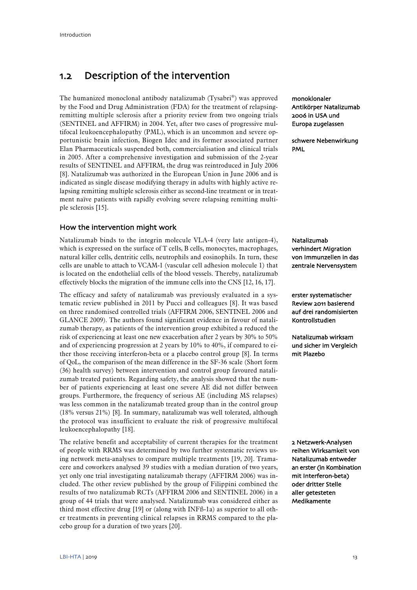# <span id="page-14-0"></span>1.2 Description of the intervention

The humanized monoclonal antibody natalizumab (Tysabri®) was approved by the Food and Drug Administration (FDA) for the treatment of relapsingremitting multiple sclerosis after a priority review from two ongoing trials (SENTINEL and AFFIRM) in 2004. Yet, after two cases of progressive multifocal leukoencephalopathy (PML), which is an uncommon and severe opportunistic brain infection, Biogen Idec and its former associated partner Elan Pharmaceuticals suspended both, commercialisation and clinical trials in 2005. After a comprehensive investigation and submission of the 2-year results of SENTINEL and AFFIRM, the drug was reintroduced in July 2006 [\[8\]](#page-34-8). Natalizumab was authorized in the European Union in June 2006 and is indicated as single disease modifying therapy in adults with highly active relapsing remitting multiple sclerosis either as second-line treatment or in treatment naïve patients with rapidly evolving severe relapsing remitting multiple sclerosis [\[15\]](#page-34-15).

## How the intervention might work

Natalizumab binds to the integrin molecule VLA-4 (very late antigen-4), which is expressed on the surface of T cells, B cells, monocytes, macrophages, natural killer cells, dentritic cells, neutrophils and eosinophils. In turn, these cells are unable to attach to VCAM-1 (vascular cell adhesion molecule 1) that is located on the endothelial cells of the blood vessels. Thereby, natalizumab effectively blocks the migration of the immune cells into the CNS [\[12,](#page-34-12) [16,](#page-34-16) [17\]](#page-34-17).

The efficacy and safety of natalizumab was previously evaluated in a systematic review published in 2011 by Pucci and colleagues [\[8\]](#page-34-8). It was based on three randomised controlled trials (AFFIRM 2006, SENTINEL 2006 and GLANCE 2009). The authors found significant evidence in favour of natalizumab therapy, as patients of the intervention group exhibited a reduced the risk of experiencing at least one new exacerbation after 2 years by 30% to 50% and of experiencing progression at 2 years by 10% to 40%, if compared to either those receiving interferon-beta or a placebo control group [\[8\]](#page-34-8). In terms of QoL, the comparison of the mean difference in the SF-36 scale (Short form (36) health survey) between intervention and control group favoured natalizumab treated patients. Regarding safety, the analysis showed that the number of patients experiencing at least one severe AE did not differ between groups. Furthermore, the frequency of serious AE (including MS relapses) was less common in the natalizumab treated group than in the control group (18% versus 21%) [\[8\]](#page-34-8). In summary, natalizumab was well tolerated, although the protocol was insufficient to evaluate the risk of progressive multifocal leukoencephalopathy [\[18\]](#page-34-18).

The relative benefit and acceptability of current therapies for the treatment of people with RRMS was determined by two further systematic reviews using network meta-analyses to compare multiple treatments [\[19,](#page-34-19) [20\]](#page-35-0). Tramacere and coworkers analysed 39 studies with a median duration of two years, yet only one trial investigating natalizumab therapy (AFFIRM 2006) was included. The other review published by the group of Filippini combined the results of two natalizumab RCTs (AFFIRM 2006 and SENTINEL 2006) in a group of 44 trials that were analysed. Natalizumab was considered either as third most effective drug [\[19\]](#page-34-19) or (along with INFß-1a) as superior to all other treatments in preventing clinical relapses in RRMS compared to the placebo group for a duration of two years [\[20\]](#page-35-0).

monoklonaler Antikörper Natalizumab 2006 in USA und Europa zugelassen

schwere Nebenwirkung PML

Natalizumab verhindert Migration von Immunzellen in das zentrale Nervensystem

erster systematischer Review 2011 basierend auf drei randomisierten Kontrollstudien

Natalizumab wirksam und sicher im Vergleich mit Plazebo

2 Netzwerk-Analysen reihen Wirksamkeit von Natalizumab entweder an erster (in Kombination mit Interferon-beta) oder dritter Stelle aller getesteten Medikamente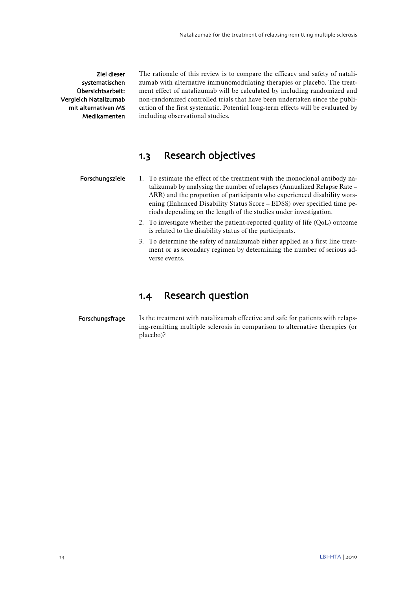## Ziel dieser systematischen Übersichtsarbeit: Vergleich Natalizumab mit alternativen MS Medikamenten

The rationale of this review is to compare the efficacy and safety of natalizumab with alternative immunomodulating therapies or placebo. The treatment effect of natalizumab will be calculated by including randomized and non-randomized controlled trials that have been undertaken since the publication of the first systematic. Potential long-term effects will be evaluated by including observational studies.

## <span id="page-15-0"></span>1.3 Research objectives

- 1. To estimate the effect of the treatment with the monoclonal antibody natalizumab by analysing the number of relapses (Annualized Relapse Rate – ARR) and the proportion of participants who experienced disability worsening (Enhanced Disability Status Score – EDSS) over specified time periods depending on the length of the studies under investigation. Forschungsziele
	- 2. To investigate whether the patient-reported quality of life (QoL) outcome is related to the disability status of the participants.
	- 3. To determine the safety of natalizumab either applied as a first line treatment or as secondary regimen by determining the number of serious adverse events.

## <span id="page-15-1"></span>1.4 Research question

## Forschungsfrage

Is the treatment with natalizumab effective and safe for patients with relapsing-remitting multiple sclerosis in comparison to alternative therapies (or placebo)?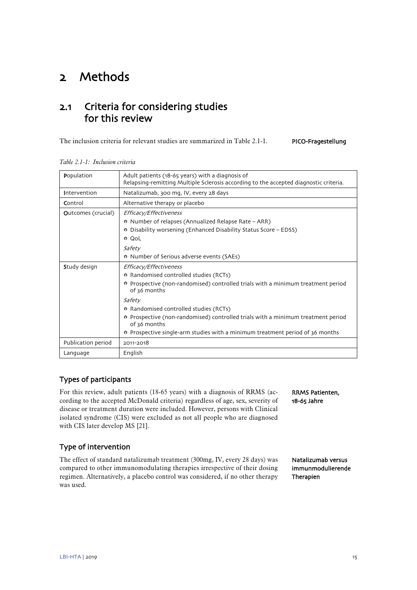# <span id="page-16-0"></span>2 Methods

## <span id="page-16-1"></span>2.1 Criteria for considering studies for this review

The inclusion criteria for relevant studies are summarized in [Table 2.1-1.](#page-16-2) PICO-Fragestellung

| Population                                             | Adult patients (18-65 years) with a diagnosis of<br>Relapsing-remitting Multiple Sclerosis according to the accepted diagnostic criteria.                                                                                                                                                                                                                                                                     |
|--------------------------------------------------------|---------------------------------------------------------------------------------------------------------------------------------------------------------------------------------------------------------------------------------------------------------------------------------------------------------------------------------------------------------------------------------------------------------------|
| Intervention<br>Natalizumab, 300 mg, IV, every 28 days |                                                                                                                                                                                                                                                                                                                                                                                                               |
| Control                                                | Alternative therapy or placebo                                                                                                                                                                                                                                                                                                                                                                                |
| <b>Outcomes (crucial)</b>                              | Efficacy/Effectiveness<br>♦ Number of relapses (Annualized Relapse Rate – ARR)<br>Disability worsening (Enhanced Disability Status Score - EDSS)<br>⊕ QoL<br>Safety<br>♦ Number of Serious adverse events (SAEs)                                                                                                                                                                                              |
| Study design                                           | Efficacy/Effectiveness<br>* Randomised controlled studies (RCTs)<br>* Prospective (non-randomised) controlled trials with a minimum treatment period<br>of 36 months<br>Safety<br>* Randomised controlled studies (RCTs)<br>♦ Prospective (non-randomised) controlled trials with a minimum treatment period<br>of 36 months<br>♦ Prospective single-arm studies with a minimum treatment period of 36 months |
| Publication period                                     | 2011-2018                                                                                                                                                                                                                                                                                                                                                                                                     |
| Language                                               | English                                                                                                                                                                                                                                                                                                                                                                                                       |

<span id="page-16-2"></span>*Table 2.1-1: Inclusion criteria*

## Types of participants

For this review, adult patients (18-65 years) with a diagnosis of RRMS (according to the accepted McDonald criteria) regardless of age, sex, severity of disease or treatment duration were included. However, persons with Clinical isolated syndrome (CIS) were excluded as not all people who are diagnosed with CIS later develop MS [\[21\]](#page-35-1).

## Type of intervention

The effect of standard natalizumab treatment (300mg, IV, every 28 days) was compared to other immunomodulating therapies irrespective of their dosing regimen. Alternatively, a placebo control was considered, if no other therapy was used.

RRMS Patienten, 18-65 Jahre

Natalizumab versus immunmodulierende Therapien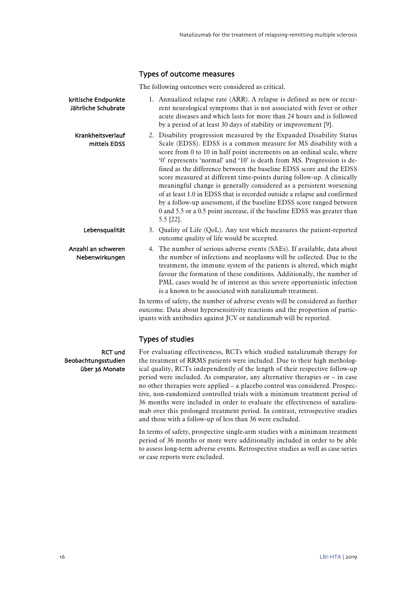## Types of outcome measures

The following outcomes were considered as critical.

| kritische Endpunkte<br>Jährliche Schubrate              | 1. Annualized relapse rate (ARR). A relapse is defined as new or recur-<br>rent neurological symptoms that is not associated with fever or other<br>acute diseases and which lasts for more than 24 hours and is followed<br>by a period of at least 30 days of stability or improvement [9].                                                                                                                                                                                                                                                                                                                                                                                                                                                                    |
|---------------------------------------------------------|------------------------------------------------------------------------------------------------------------------------------------------------------------------------------------------------------------------------------------------------------------------------------------------------------------------------------------------------------------------------------------------------------------------------------------------------------------------------------------------------------------------------------------------------------------------------------------------------------------------------------------------------------------------------------------------------------------------------------------------------------------------|
| Krankheitsverlauf<br>mittels EDSS                       | 2. Disability progression measured by the Expanded Disability Status<br>Scale (EDSS). EDSS is a common measure for MS disability with a<br>score from 0 to 10 in half point increments on an ordinal scale, where<br>'0' represents 'normal' and '10' is death from MS. Progression is de-<br>fined as the difference between the baseline EDSS score and the EDSS<br>score measured at different time-points during follow-up. A clinically<br>meaningful change is generally considered as a persistent worsening<br>of at least 1.0 in EDSS that is recorded outside a relapse and confirmed<br>by a follow-up assessment, if the baseline EDSS score ranged between<br>0 and 5.5 or a 0.5 point increase, if the baseline EDSS was greater than<br>5.5 [22]. |
| Lebensqualität                                          | 3. Quality of Life (QoL). Any test which measures the patient-reported<br>outcome quality of life would be accepted.                                                                                                                                                                                                                                                                                                                                                                                                                                                                                                                                                                                                                                             |
| Anzahl an schweren<br>Nebenwirkungen                    | 4. The number of serious adverse events (SAEs). If available, data about<br>the number of infections and neoplasms will be collected. Due to the<br>treatment, the immune system of the patients is altered, which might<br>favour the formation of these conditions. Additionally, the number of<br>PML cases would be of interest as this severe opportunistic infection<br>is a known to be associated with natalizumab treatment.                                                                                                                                                                                                                                                                                                                            |
|                                                         | In terms of safety, the number of adverse events will be considered as further<br>outcome. Data about hypersensitivity reactions and the proportion of partic-<br>ipants with antibodies against JCV or natalizumab will be reported.                                                                                                                                                                                                                                                                                                                                                                                                                                                                                                                            |
|                                                         | <b>Types of studies</b>                                                                                                                                                                                                                                                                                                                                                                                                                                                                                                                                                                                                                                                                                                                                          |
| <b>RCT und</b><br>Beobachtungsstudien<br>über 36 Monate | For evaluating effectiveness, RCTs which studied natalizumab therapy for<br>the treatment of RRMS patients were included. Due to their high metholog-<br>ical quality, RCTs independently of the length of their respective follow-up                                                                                                                                                                                                                                                                                                                                                                                                                                                                                                                            |

ical quality, RCTs independently of the length of their respective follow-up period were included. As comparator, any alternative therapies or – in case no other therapies were applied – a placebo control was considered. Prospective, non-randomized controlled trials with a minimum treatment period of 36 months were included in order to evaluate the effectiveness of natalizumab over this prolonged treatment period. In contrast, retrospective studies and those with a follow-up of less than 36 were excluded.

In terms of safety, prospective single-arm studies with a minimum treatment period of 36 months or more were additionally included in order to be able to assess long-term adverse events. Retrospective studies as well as case series or case reports were excluded.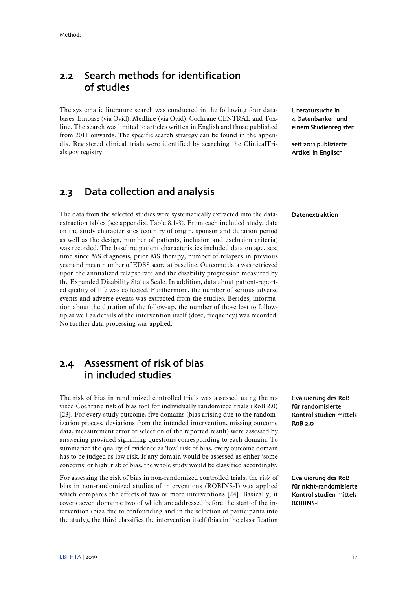## <span id="page-18-0"></span>2.2 Search methods for identification of studies

The systematic literature search was conducted in the following four databases: Embase (via Ovid), Medline (via Ovid), Cochrane CENTRAL and Toxline. The search was limited to articles written in English and those published from 2011 onwards. The specific search strategy can be found in the appendix. Registered clinical trials were identified by searching the ClinicalTrials.gov registry.

## <span id="page-18-1"></span>2.3 Data collection and analysis

The data from the selected studies were systematically extracted into the dataextraction tables (see appendix[, Table 8.1-3\)](#page-42-0). From each included study, data on the study characteristics (country of origin, sponsor and duration period as well as the design, number of patients, inclusion and exclusion criteria) was recorded. The baseline patient characteristics included data on age, sex, time since MS diagnosis, prior MS therapy, number of relapses in previous year and mean number of EDSS score at baseline. Outcome data was retrieved upon the annualized relapse rate and the disability progression measured by the Expanded Disability Status Scale. In addition, data about patient-reported quality of life was collected. Furthermore, the number of serious adverse events and adverse events was extracted from the studies. Besides, information about the duration of the follow-up, the number of those lost to followup as well as details of the intervention itself (dose, frequency) was recorded. No further data processing was applied.

## <span id="page-18-2"></span>2.4 Assessment of risk of bias in included studies

The risk of bias in randomized controlled trials was assessed using the revised Cochrane risk of bias tool for individually randomized trials (RoB 2.0) [\[23\]](#page-35-3). For every study outcome, five domains (bias arising due to the randomization process, deviations from the intended intervention, missing outcome data, measurement error or selection of the reported result) were assessed by answering provided signalling questions corresponding to each domain. To summarize the quality of evidence as 'low' risk of bias, every outcome domain has to be judged as low risk. If any domain would be assessed as either 'some concerns' or high' risk of bias, the whole study would be classified accordingly.

For assessing the risk of bias in non-randomized controlled trials, the risk of bias in non-randomized studies of interventions (ROBINS-I) was applied which compares the effects of two or more interventions [\[24\]](#page-35-4). Basically, it covers seven domains: two of which are addressed before the start of the intervention (bias due to confounding and in the selection of participants into the study), the third classifies the intervention itself (bias in the classification

Literatursuche in 4 Datenbanken und einem Studienregister

seit 2011 publizierte Artikel in Englisch

#### Datenextraktion

Evaluierung des RoB für randomisierte Kontrollstudien mittels RoB 2.0

Evaluierung des RoB für nicht-randomisierte Kontrollstudien mittels ROBINS-I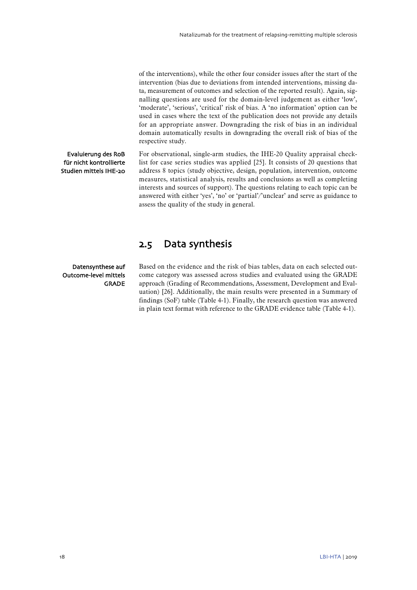of the interventions), while the other four consider issues after the start of the intervention (bias due to deviations from intended interventions, missing data, measurement of outcomes and selection of the reported result). Again, signalling questions are used for the domain-level judgement as either 'low', 'moderate', 'serious', 'critical' risk of bias. A 'no information' option can be used in cases where the text of the publication does not provide any details for an appropriate answer. Downgrading the risk of bias in an individual domain automatically results in downgrading the overall risk of bias of the respective study.

## Evaluierung des RoB für nicht kontrollierte Studien mittels IHE-20

For observational, single-arm studies, the IHE-20 Quality appraisal checklist for case series studies was applied [\[25\]](#page-35-5). It consists of 20 questions that address 8 topics (study objective, design, population, intervention, outcome measures, statistical analysis, results and conclusions as well as completing interests and sources of support). The questions relating to each topic can be answered with either 'yes', 'no' or 'partial'/'unclear' and serve as guidance to assess the quality of the study in general.

## <span id="page-19-0"></span>2.5 Data synthesis

### Datensynthese auf Outcome-level mittels GRADE

Based on the evidence and the risk of bias tables, data on each selected outcome category was assessed across studies and evaluated using the GRADE approach (Grading of Recommendations, Assessment, Development and Evaluation) [\[26\]](#page-35-6). Additionally, the main results were presented in a Summary of findings (SoF) table [\(Table 4-1\)](#page-27-0). Finally, the research question was answered in plain text format with reference to the GRADE evidence table [\(Table 4-1\)](#page-27-0).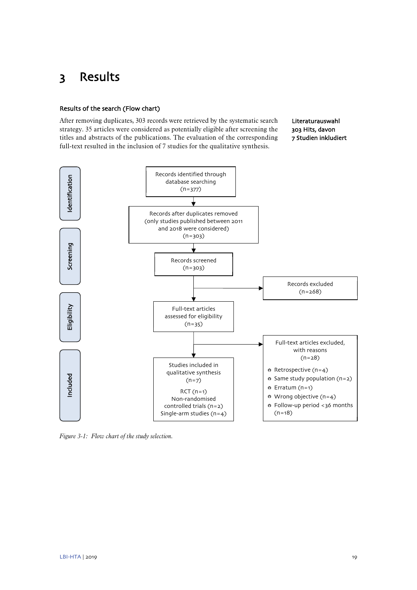# <span id="page-20-0"></span>3 Results

## Results of the search (Flow chart)

After removing duplicates, 303 records were retrieved by the systematic search strategy. 35 articles were considered as potentially eligible after screening the titles and abstracts of the publications. The evaluation of the corresponding full-text resulted in the inclusion of 7 studies for the qualitative synthesis.

Literaturauswahl 303 Hits, davon 7 Studien inkludiert



<span id="page-20-1"></span>*Figure 3-1: Flow chart of the study selection.*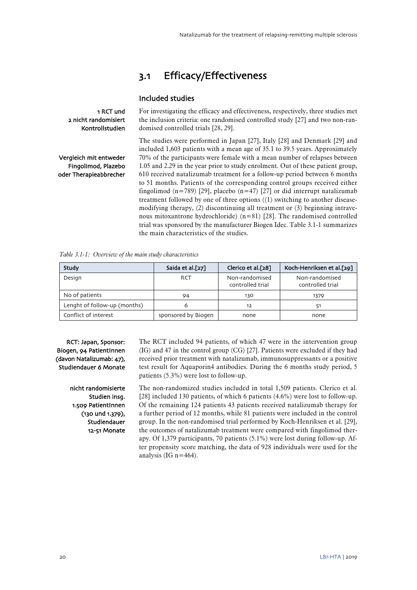## <span id="page-21-0"></span>3.1 Efficacy/Effectiveness

## Included studies

1 RCT und 2 nicht randomisiert Kontrollstudien

For investigating the efficacy and effectiveness, respectively, three studies met the inclusion criteria: one randomised controlled study [\[27\]](#page-35-7) and two non-randomised controlled trials [\[28,](#page-35-8) [29\]](#page-35-9).

Vergleich mit entweder Fingolimod, Plazebo oder Therapieabbrecher The studies were performed in Japan [\[27\]](#page-35-7), Italy [\[28\]](#page-35-8) and Denmark [\[29\]](#page-35-9) and included 1,603 patients with a mean age of 35.1 to 39.5 years. Approximately 70% of the participants were female with a mean number of relapses between 1.05 and 2.29 in the year prior to study enrolment. Out of these patient group, 610 received natalizumab treatment for a follow-up period between 6 months to 51 months. Patients of the corresponding control groups received either fingolimod  $(n=789)$  [\[29\]](#page-35-9), placebo  $(n=47)$  [\[27\]](#page-35-7) or did interrupt natalizumab treatment followed by one of three options ((1) switching to another diseasemodifying therapy, (2) discontinuing all treatment or (3) beginning intravenous mitoxantrone hydrochloride)  $(n=81)$  [\[28\]](#page-35-8). The randomised controlled trial was sponsored by the manufacturer Biogen Idec. [Table 3.1-1](#page-21-1) summarizes the main characteristics of the studies.

<span id="page-21-1"></span>*Table 3.1-1: Overview of the main study characteristics*

| Study                        | Saida et al.[27]    | Clerico et al.[28]                 | Koch-Henriksen et al.[29]          |
|------------------------------|---------------------|------------------------------------|------------------------------------|
| Design                       | RCT                 | Non-randomised<br>controlled trial | Non-randomised<br>controlled trial |
| No of patients               | 94                  | 130                                | 1379                               |
| Lenght of follow-up (months) |                     | 12                                 | 51                                 |
| Conflict of interest         | sponsored by Biogen | none                               | none                               |

RCT: Japan, Sponsor: Biogen, 94 PatientInnen (davon Natalizumab: 47), Studiendauer 6 Monate

> nicht randomisierte Studien insg. 1.509 PatientInnen (130 und 1.379), Studiendauer 12-51 Monate

The RCT included 94 patients, of which 47 were in the intervention group (IG) and 47 in the control group (CG) [\[27\]](#page-35-7). Patients were excluded if they had received prior treatment with natalizumab, immunosuppressants or a positive test result for Aquaporin4 antibodies. During the 6 months study period, 5 patients (5.3%) were lost to follow-up.

The non-randomized studies included in total 1,509 patients. Clerico et al. [\[28\]](#page-35-8) included 130 patients, of which 6 patients (4.6%) were lost to follow-up. Of the remaining 124 patients 43 patients received natalizumab therapy for a further period of 12 months, while 81 patients were included in the control group. In the non-randomised trial performed by Koch-Henriksen et al. [\[29\]](#page-35-9), the outcomes of natalizumab treatment were compared with fingolimod therapy. Of 1,379 participants, 70 patients (5.1%) were lost during follow-up. After propensity score matching, the data of 928 individuals were used for the analysis (IG n=464).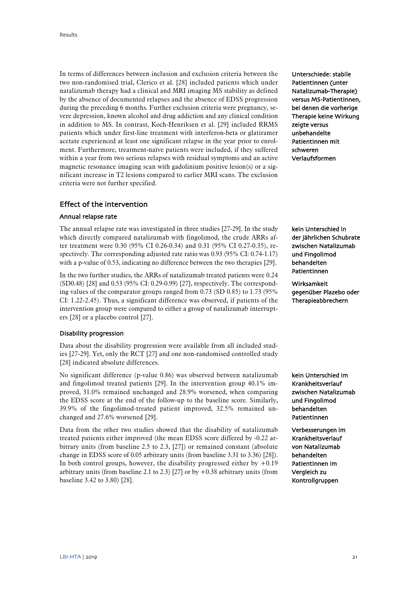In terms of differences between inclusion and exclusion criteria between the two non-randomised trial, Clerico et al. [\[28\]](#page-35-8) included patients which under natalizumab therapy had a clinical and MRI imaging MS stability as defined by the absence of documented relapses and the absence of EDSS progression during the preceding 6 months. Further exclusion criteria were pregnancy, severe depression, known alcohol and drug addiction and any clinical condition in addition to MS. In contrast, Koch-Henriksen et al. [\[29\]](#page-35-9) included RRMS patients which under first-line treatment with interferon-beta or glatiramer acetate experienced at least one significant relapse in the year prior to enrolment. Furthermore, treatment-naïve patients were included, if they suffered within a year from two serious relapses with residual symptoms and an active magnetic resonance imaging scan with gadolinium positive lesion(s) or a significant increase in T2 lesions compared to earlier MRI scans. The exclusion criteria were not further specified.

## Effect of the intervention

## Annual relapse rate

The annual relapse rate was investigated in three studies [\[27-29\]](#page-35-7). In the study which directly compared natalizumab with fingolimod, the crude ARRs after treatment were 0.30 (95% CI 0.26-0.34) and 0.31 (95% CI 0.27-0.35), respectively. The corresponding adjusted rate ratio was 0.93 (95% CI: 0.74-1.17) with a p-value of 0.53, indicating no difference between the two therapies [\[29\]](#page-35-9).

In the two further studies, the ARRs of natalizumab treated patients were 0.24 (SD0.48) [\[28\]](#page-35-8) and 0.53 (95% CI: 0.29-0.99) [\[27\]](#page-35-7), respectively. The corresponding values of the comparator groups ranged from 0.73 (SD 0.85) to 1.73 (95% CI: 1.22-2.45). Thus, a significant difference was observed, if patients of the intervention group were compared to either a group of natalizumab interrupters [\[28\]](#page-35-8) or a placebo control [\[27\]](#page-35-7).

## Disability progression

Data about the disability progression were available from all included studies [\[27-29\]](#page-35-7). Yet, only the RCT [\[27\]](#page-35-7) and one non-randomised controlled study [\[28\]](#page-35-8) indicated absolute differences.

No significant difference (p-value 0.86) was observed between natalizumab and fingolimod treated patients [\[29\]](#page-35-9). In the intervention group 40.1% improved, 31.0% remained unchanged and 28.9% worsened, when comparing the EDSS score at the end of the follow-up to the baseline score. Similarly, 39.9% of the fingolimod-treated patient improved, 32.5% remained unchanged and 27.6% worsened [\[29\]](#page-35-9).

Data from the other two studies showed that the disability of natalizumab treated patients either improved (the mean EDSS score differed by -0.22 arbitrary units (from baseline 2.5 to 2.3, [\[27\]](#page-35-7)) or remained constant (absolute change in EDSS score of 0.05 arbitrary units (from baseline 3.31 to 3.36) [\[28\]](#page-35-8)). In both control groups, however, the disability progressed either by  $+0.19$ arbitrary units (from baseline 2.1 to 2.3) [\[27\]](#page-35-7) or by  $+0.38$  arbitrary units (from baseline 3.42 to 3.80) [\[28\]](#page-35-8).

Unterschiede: stabile PatientInnen (unter Natalizumab-Therapie) versus MS-PatientInnen, bei denen die vorherige Therapie keine Wirkung zeigte versus unbehandelte PatientInnen mit schweren Verlaufsformen

kein Unterschied in der jährlichen Schubrate zwischen Natalizumab und Fingolimod behandelten PatientInnen

Wirksamkeit gegenüber Plazebo oder Therapieabbrechern

kein Unterschied im Krankheitsverlauf zwischen Natalizumab und Fingolimod behandelten PatientInnen

Verbesserungen im Krankheitsverlauf von Natalizumab behandelten PatientInnen im Vergleich zu Kontrollgruppen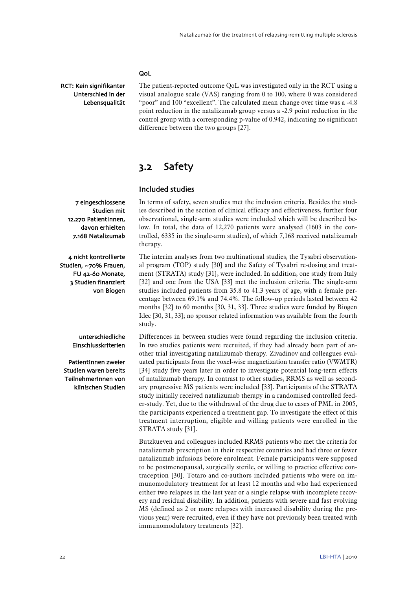## QoL

RCT: Kein signifikanter Unterschied in der Lebensqualität The patient-reported outcome QoL was investigated only in the RCT using a visual analogue scale (VAS) ranging from 0 to 100, where 0 was considered "poor" and 100 "excellent". The calculated mean change over time was a -4.8 point reduction in the natalizumab group versus a -2.9 point reduction in the control group with a corresponding p-value of 0.942, indicating no significant difference between the two groups [\[27\]](#page-35-7).

## <span id="page-23-0"></span>3.2 Safety

## Included studies

7 eingeschlossene Studien mit 12.270 PatientInnen, davon erhielten 7.168 Natalizumab

4 nicht kontrollierte Studien, ~70% Frauen, FU 42-60 Monate, 3 Studien finanziert von Biogen

In terms of safety, seven studies met the inclusion criteria. Besides the studies described in the section of clinical efficacy and effectiveness, further four observational, single-arm studies were included which will be described below. In total, the data of 12,270 patients were analysed (1603 in the controlled, 6335 in the single-arm studies), of which 7,168 received natalizumab therapy.

The interim analyses from two multinational studies, the Tysabri observational program (TOP) study [\[30\]](#page-35-10) and the Safety of Tysabri re-dosing and treatment (STRATA) study [\[31\]](#page-35-11), were included. In addition, one study from Italy [\[32\]](#page-35-12) and one from the USA [\[33\]](#page-35-13) met the inclusion criteria. The single-arm studies included patients from 35.8 to 41.3 years of age, with a female percentage between 69.1% and 74.4%. The follow-up periods lasted between 42 months [\[32\]](#page-35-12) to 60 months [\[30,](#page-35-10) [31,](#page-35-11) [33\]](#page-35-13). Three studies were funded by Biogen Idec [\[30,](#page-35-10) [31,](#page-35-11) [33\]](#page-35-13); no sponsor related information was available from the fourth study.

Differences in between studies were found regarding the inclusion criteria. In two studies patients were recruited, if they had already been part of another trial investigating natalizumab therapy. Zivadinov and colleagues evaluated participants from the voxel-wise magnetization transfer ratio (VWMTR) [\[34\]](#page-35-14) study five years later in order to investigate potential long-term effects of natalizumab therapy. In contrast to other studies, RRMS as well as secondary progressive MS patients were included [\[33\]](#page-35-13). Participants of the STRATA study initially received natalizumab therapy in a randomised controlled feeder-study. Yet, due to the withdrawal of the drug due to cases of PML in 2005, the participants experienced a treatment gap. To investigate the effect of this treatment interruption, eligible and willing patients were enrolled in the STRATA study [\[31\]](#page-35-11).

Butzkueven and colleagues included RRMS patients who met the criteria for natalizumab prescription in their respective countries and had three or fewer natalizumab infusions before enrolment. Female participants were supposed to be postmenopausal, surgically sterile, or willing to practice effective contraception [\[30\]](#page-35-10). Totaro and co-authors included patients who were on immunomodulatory treatment for at least 12 months and who had experienced either two relapses in the last year or a single relapse with incomplete recovery and residual disability. In addition, patients with severe and fast evolving MS (defined as 2 or more relapses with increased disability during the previous year) were recruited, even if they have not previously been treated with immunomodulatory treatments [\[32\]](#page-35-12).

unterschiedliche Einschlusskriterien

PatientInnen zweier Studien waren bereits TeilnehmerInnen von klinischen Studien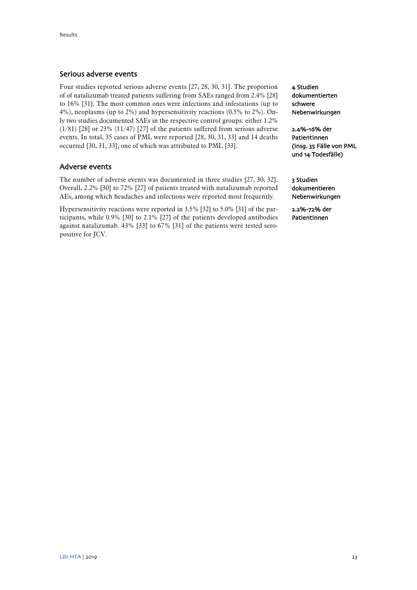## Serious adverse events

Four studies reported serious adverse events [\[27,](#page-35-7) [28,](#page-35-8) [30,](#page-35-10) [31\]](#page-35-11). The proportion of of natalizumab treated patients suffering from SAEs ranged from 2.4% [\[28\]](#page-35-8) to 16% [\[31\]](#page-35-11). The most common ones were infections and infestations (up to 4%), neoplasms (up to 2%) and hypersensitivity reactions (0.5% to 2%). Only two studies documented SAEs in the respective control groups: either 1.2% (1/81) [\[28\]](#page-35-8) or 23% (11/47) [\[27\]](#page-35-7) of the patients suffered from serious adverse events. In total, 35 cases of PML were reported [\[28,](#page-35-8) [30,](#page-35-10) [31,](#page-35-11) [33\]](#page-35-13) and 14 deaths occurred [\[30,](#page-35-10) [31,](#page-35-11) [33\]](#page-35-13), one of which was attributed to PML [\[33\]](#page-35-13).

## Adverse events

The number of adverse events was documented in three studies [\[27,](#page-35-7) [30,](#page-35-10) [32\]](#page-35-12). Overall, 2.2% [\[30\]](#page-35-10) to 72% [\[27\]](#page-35-7) of patients treated with natalizumab reported AEs, among which headaches and infections were reported most frequently.

Hypersensitivity reactions were reported in 3.5% [\[32\]](#page-35-12) to 5.0% [\[31\]](#page-35-11) of the participants, while 0.9% [\[30\]](#page-35-10) to 2.1% [\[27\]](#page-35-7) of the patients developed antibodies against natalizumab. 43% [\[33\]](#page-35-13) to 67% [\[31\]](#page-35-11) of the patients were tested seropositive for JCV.

4 Studien dokumentierten schwere Nebenwirkungen

2.4%-16% der PatientInnen (insg. 35 Fälle von PML und 14 Todesfälle)

3 Studien dokumentieren Nebenwirkungen

2.2%-72% der PatientInnen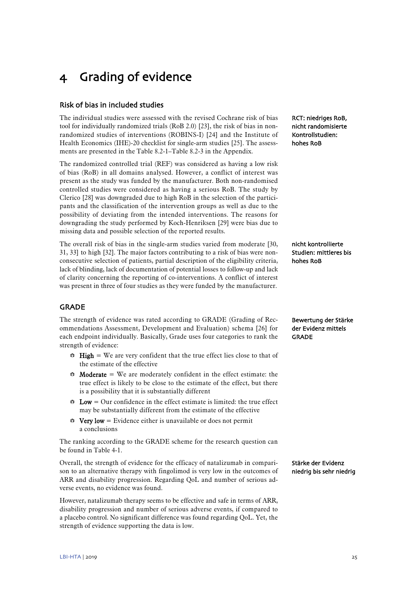# <span id="page-26-0"></span>4 Grading of evidence

## Risk of bias in included studies

The individual studies were assessed with the revised Cochrane risk of bias tool for individually randomized trials (RoB 2.0) [\[23\]](#page-35-3), the risk of bias in nonrandomized studies of interventions (ROBINS-I) [\[24\]](#page-35-4) and the Institute of Health Economics (IHE)-20 checklist for single-arm studies [\[25\]](#page-35-5). The assessments are presented in the [Table 8.2-1–](#page-45-1)[Table 8.2-3](#page-46-0) in the Appendix.

The randomized controlled trial (REF) was considered as having a low risk of bias (RoB) in all domains analysed. However, a conflict of interest was present as the study was funded by the manufacturer. Both non-randomised controlled studies were considered as having a serious RoB. The study by Clerico [\[28\]](#page-35-8) was downgraded due to high RoB in the selection of the participants and the classification of the intervention groups as well as due to the possibility of deviating from the intended interventions. The reasons for downgrading the study performed by Koch-Henriksen [\[29\]](#page-35-9) were bias due to missing data and possible selection of the reported results.

The overall risk of bias in the single-arm studies varied from moderate [\[30,](#page-35-10)  [31,](#page-35-11) [33\]](#page-35-13) to high [\[32\]](#page-35-12). The major factors contributing to a risk of bias were nonconsecutive selection of patients, partial description of the eligibility criteria, lack of blinding, lack of documentation of potential losses to follow-up and lack of clarity concerning the reporting of co-interventions. A conflict of interest was present in three of four studies as they were funded by the manufacturer.

## GRADE

The strength of evidence was rated according to GRADE (Grading of Recommendations Assessment, Development and Evaluation) schema [\[26\]](#page-35-6) for each endpoint individually. Basically, Grade uses four categories to rank the strength of evidence:

- $\div$  High = We are very confident that the true effect lies close to that of the estimate of the effective
- $\bullet$  **Moderate** = We are moderately confident in the effect estimate: the true effect is likely to be close to the estimate of the effect, but there is a possibility that it is substantially different
- $\bullet$  Low = Our confidence in the effect estimate is limited: the true effect may be substantially different from the estimate of the effective
- $\mathbf{\hat{v}}$  Very low = Evidence either is unavailable or does not permit a conclusions

The ranking according to the GRADE scheme for the research question can be found in [Table 4-1.](#page-27-0)

Overall, the strength of evidence for the efficacy of natalizumab in comparison to an alternative therapy with fingolimod is very low in the outcomes of ARR and disability progression. Regarding QoL and number of serious adverse events, no evidence was found.

However, natalizumab therapy seems to be effective and safe in terms of ARR, disability progression and number of serious adverse events, if compared to a placebo control. No significant difference was found regarding QoL. Yet, the strength of evidence supporting the data is low.

RCT: niedriges RoB, nicht randomisierte Kontrollstudien: hohes RoB

nicht kontrollierte Studien: mittleres bis hohes RoB

Bewertung der Stärke der Evidenz mittels GRADE

Stärke der Evidenz niedrig bis sehr niedrig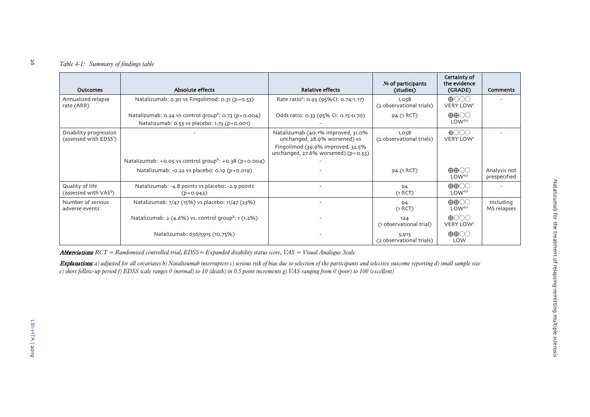## *Table 4-1: Summary of findings table*

| <b>Outcomes</b>                                              | Absolute effects                                                                                                       | <b>Relative effects</b>                                                                                                                                  | No of participants<br>(studies)   | Certainty of<br>the evidence<br>(GRADE)                    | Comments                     |
|--------------------------------------------------------------|------------------------------------------------------------------------------------------------------------------------|----------------------------------------------------------------------------------------------------------------------------------------------------------|-----------------------------------|------------------------------------------------------------|------------------------------|
| Annualized relapse<br>rate (ARR)                             | Natalizumab: 0.30 vs Fingolimod: 0.31 (p=0.53)                                                                         | Rate ratio <sup>a</sup> : 0.93 (95%Cl: 0.74-1.17)                                                                                                        | 1,058<br>(2 observational trials) | $\bigoplus$ $\bigcirc$ $\bigcirc$<br>VERY LOW <sup>c</sup> |                              |
|                                                              | Natalizumab: 0.24 vs control group <sup>b</sup> : 0.73 ( $p = 0.004$ )<br>Natalizumab: 0.53 vs placebo: 1.73 (p=0.001) | Odds ratio: 0.33 (95% CI: 0.15-0.70)                                                                                                                     | 94 (1 RCT)                        | $\oplus \oplus \odot \odot$<br>LOW <sup>d,e</sup>          |                              |
| Disability progression<br>(assessed with EDSS <sup>f</sup> ) |                                                                                                                        | Natalizumab (40.1% improved, 31.0%<br>unchanged, 28.9% worsened) vs<br>Fingolimod (39.9% improved, 32.5%<br>unchanged, $27.6\%$ worsened) ( $p = 0.53$ ) | 1,058<br>(2 observational trials) | $\bigoplus$ $\bigodot$ $\bigodot$<br>VERY LOW <sup>c</sup> |                              |
|                                                              | Natalizumab: +0.05 vs control group <sup>b</sup> : +0.38 (p=0.004)                                                     |                                                                                                                                                          |                                   |                                                            |                              |
|                                                              | Natalizumab: -0.22 vs placebo: 0.19 (p=0.019)                                                                          |                                                                                                                                                          | 94 (1 RCT)                        | $\oplus \oplus \odot \odot$<br>LOW <sup>d,e</sup>          | Analysis not<br>prespecified |
| Quality of life<br>(assessed with VAS <sup>9</sup> )         | Natalizumab: -4.8 points vs placebo: -2.9 points<br>$(p=0.942)$                                                        |                                                                                                                                                          | 94<br>(1 RCT)                     | $\oplus \oplus \odot \odot$<br>LOW <sup>d,e</sup>          |                              |
| Number of serious<br>adverse events                          | Natalizumab: 7/47 (15%) vs placebo: 11/47 (23%)                                                                        |                                                                                                                                                          | 94<br>(1 RCT)                     | $\oplus \oplus \odot \odot$<br>LOW <sup>d,e</sup>          | Including<br>MS relapses     |
|                                                              | Natalizumab: $2(4.6\%)$ vs. control group <sup>b</sup> : 1(1.2%)                                                       |                                                                                                                                                          | 124<br>(1 observational trial)    | $\bigoplus$ $\bigcirc$ $\bigcirc$<br>VERY LOW <sup>c</sup> |                              |
|                                                              | Natalizumab: 636/5915 (10.75%)                                                                                         |                                                                                                                                                          | 5,915<br>(2 observational trials) | $\oplus \oplus \odot \odot$<br>LOW                         |                              |

<span id="page-27-0"></span>Abbreviations: *RCT = Randomised controlled trial, EDSS= Expanded disability status score, VAS = Visual Analogue Scale*

Explanations: *a) adjusted for all covariates b) Natalizumab interrupters c) serious risk of bias due to selection of the participants and selective outcome reporting d) small sample size e) short follow-up period f) EDSS scale ranges 0 (normal) to 10 (death) in 0.5 point increments g) VAS ranging from 0 (poor) to 100 (excellent)*

26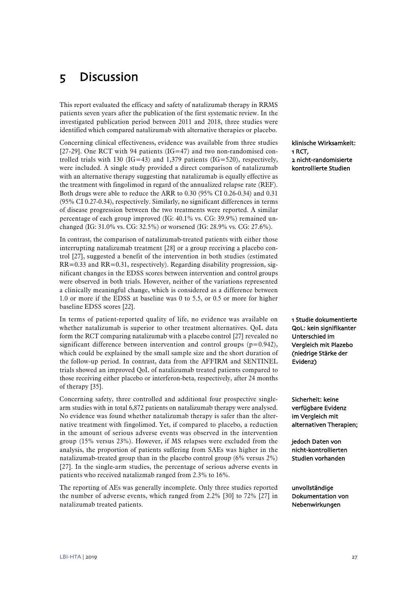# <span id="page-28-0"></span>5 Discussion

This report evaluated the efficacy and safety of natalizumab therapy in RRMS patients seven years after the publication of the first systematic review. In the investigated publication period between 2011 and 2018, three studies were identified which compared natalizumab with alternative therapies or placebo.

Concerning clinical effectiveness, evidence was available from three studies [\[27-29\]](#page-35-7). One RCT with 94 patients ( $IG=47$ ) and two non-randomised controlled trials with 130 (IG=43) and 1,379 patients (IG=520), respectively, were included. A single study provided a direct comparison of natalizumab with an alternative therapy suggesting that natalizumab is equally effective as the treatment with fingolimod in regard of the annualized relapse rate (REF). Both drugs were able to reduce the ARR to 0.30 (95% CI 0.26-0.34) and 0.31 (95% CI 0.27-0.34), respectively. Similarly, no significant differences in terms of disease progression between the two treatments were reported. A similar percentage of each group improved (IG: 40.1% vs. CG: 39.9%) remained unchanged (IG: 31.0% vs. CG: 32.5%) or worsened (IG: 28.9% vs. CG: 27.6%).

In contrast, the comparison of natalizumab-treated patients with either those interrupting natalizumab treatment [\[28\]](#page-35-8) or a group receiving a placebo control [\[27\]](#page-35-7), suggested a benefit of the intervention in both studies (estimated RR=0.33 and RR=0.31, respectively). Regarding disability progression, significant changes in the EDSS scores between intervention and control groups were observed in both trials. However, neither of the variations represented a clinically meaningful change, which is considered as a difference between 1.0 or more if the EDSS at baseline was 0 to 5.5, or 0.5 or more for higher baseline EDSS scores [\[22\]](#page-35-2).

In terms of patient-reported quality of life, no evidence was available on whether natalizumab is superior to other treatment alternatives. QoL data form the RCT comparing natalizumab with a placebo control [\[27\]](#page-35-7) revealed no significant difference between intervention and control groups  $(p=0.942)$ , which could be explained by the small sample size and the short duration of the follow-up period. In contrast, data from the AFFIRM and SENTINEL trials showed an improved QoL of natalizumab treated patients compared to those receiving either placebo or interferon-beta, respectively, after 24 months of therapy [\[35\]](#page-35-15).

Concerning safety, three controlled and additional four prospective singlearm studies with in total 6,872 patients on natalizumab therapy were analysed. No evidence was found whether natalizumab therapy is safer than the alternative treatment with fingolimod. Yet, if compared to placebo, a reduction in the amount of serious adverse events was observed in the intervention group (15% versus 23%). However, if MS relapses were excluded from the analysis, the proportion of patients suffering from SAEs was higher in the natalizumab-treated group than in the placebo control group (6% versus 2%) [\[27\]](#page-35-7). In the single-arm studies, the percentage of serious adverse events in patients who received natalizmab ranged from 2.3% to 16%.

The reporting of AEs was generally incomplete. Only three studies reported the number of adverse events, which ranged from 2.2% [\[30\]](#page-35-10) to 72% [\[27\]](#page-35-7) in natalizumab treated patients.

klinische Wirksamkeit: 1 RCT, 2 nicht-randomisierte kontrollierte Studien

1 Studie dokumentierte QoL: kein signifikanter Unterschied im Vergleich mit Plazebo (niedrige Stärke der Evidenz)

Sicherheit: keine verfügbare Evidenz im Vergleich mit alternativen Therapien;

jedoch Daten von nicht-kontrollierten Studien vorhanden

unvollständige Dokumentation von Nebenwirkungen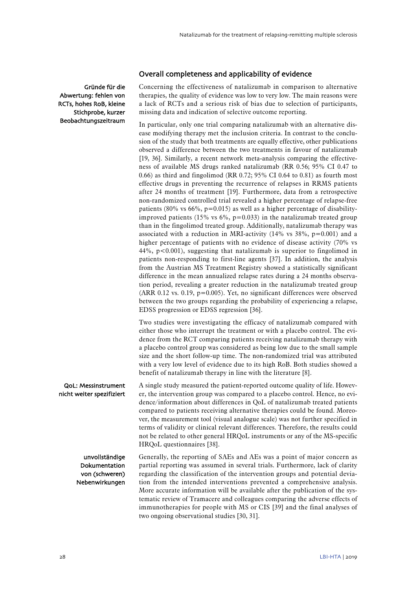## Overall completeness and applicability of evidence

Gründe für die Abwertung: fehlen von RCTs, hohes RoB, kleine Stichprobe, kurzer Beobachtungszeitraum Concerning the effectiveness of natalizumab in comparison to alternative therapies, the quality of evidence was low to very low. The main reasons were a lack of RCTs and a serious risk of bias due to selection of participants, missing data and indication of selective outcome reporting.

In particular, only one trial comparing natalizumab with an alternative disease modifying therapy met the inclusion criteria. In contrast to the conclusion of the study that both treatments are equally effective, other publications observed a difference between the two treatments in favour of natalizumab [\[19,](#page-34-19) [36\]](#page-35-16). Similarly, a recent network meta-analysis comparing the effectiveness of available MS drugs ranked natalizumab (RR 0.56; 95% CI 0.47 to 0.66) as third and fingolimod (RR 0.72; 95% CI 0.64 to 0.81) as fourth most effective drugs in preventing the recurrence of relapses in RRMS patients after 24 months of treatment [\[19\]](#page-34-19). Furthermore, data from a retrospective non-randomized controlled trial revealed a higher percentage of relapse-free patients (80% vs 66%,  $p=0.015$ ) as well as a higher percentage of disabilityimproved patients (15% vs  $6\%$ , p=0.033) in the natalizumab treated group than in the fingolimod treated group. Additionally, natalizumab therapy was associated with a reduction in MRI-activity  $(14\% \text{ vs } 38\%, \text{ p}=0.001)$  and a higher percentage of patients with no evidence of disease activity (70% vs 44%, p<0.001), suggesting that natalizumab is superior to fingolimod in patients non-responding to first-line agents [\[37\]](#page-35-17). In addition, the analysis from the Austrian MS Treatment Registry showed a statistically significant difference in the mean annualized relapse rates during a 24 months observation period, revealing a greater reduction in the natalizumab treated group (ARR 0.12 vs. 0.19, p=0.005). Yet, no significant differences were observed between the two groups regarding the probability of experiencing a relapse, EDSS progression or EDSS regression [\[36\]](#page-35-16).

Two studies were investigating the efficacy of natalizumab compared with either those who interrupt the treatment or with a placebo control. The evidence from the RCT comparing patients receiving natalizumab therapy with a placebo control group was considered as being low due to the small sample size and the short follow-up time. The non-randomized trial was attributed with a very low level of evidence due to its high RoB. Both studies showed a benefit of natalizumab therapy in line with the literature [\[8\]](#page-34-8).

A single study measured the patient-reported outcome quality of life. However, the intervention group was compared to a placebo control. Hence, no evidence/information about differences in QoL of natalizumab treated patients compared to patients receiving alternative therapies could be found. Moreover, the measurement tool (visual analogue scale) was not further specified in terms of validity or clinical relevant differences. Therefore, the results could not be related to other general HRQoL instruments or any of the MS-specific HRQoL questionnaires [\[38\]](#page-36-0). QoL: Messinstrument nicht weiter spezifiziert

Generally, the reporting of SAEs and AEs was a point of major concern as partial reporting was assumed in several trials. Furthermore, lack of clarity regarding the classification of the intervention groups and potential deviation from the intended interventions prevented a comprehensive analysis. More accurate information will be available after the publication of the systematic review of Tramacere and colleagues comparing the adverse effects of immunotherapies for people with MS or CIS [\[39\]](#page-36-1) and the final analyses of two ongoing observational studies [\[30,](#page-35-10) [31\]](#page-35-11). unvollständige Dokumentation von (schweren) Nebenwirkungen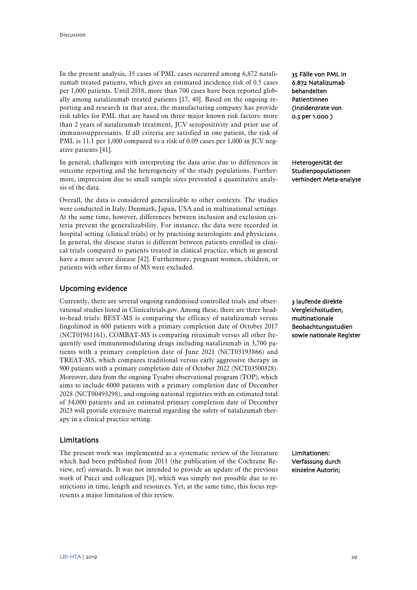In the present analysis, 35 cases of PML cases occurred among 6,872 natalizumab treated patients, which gives an estimated incidence risk of 0.5 cases per 1,000 patients. Until 2018, more than 700 cases have been reported globally among natalizumab treated patients [\[17,](#page-34-17) [40\]](#page-36-2). Based on the ongoing reporting and research in that area, the manufacturing company has provide risk tables for PML that are based on three major known risk factors: more than 2 years of natalizumab treatment, JCV seropositivity and prior use of immunosuppressants. If all criteria are satisfied in one patient, the risk of PML is 11.1 per 1,000 compared to a risk of 0.09 cases per 1,000 in JCV negative patients [\[41\]](#page-36-3).

In general, challenges with interpreting the data arise due to differences in outcome reporting and the heterogeneity of the study populations. Furthermore, imprecision due to small sample sizes prevented a quantitative analysis of the data.

Overall, the data is considered generalizable to other contexts. The studies were conducted in Italy, Denmark, Japan, USA and in multinational settings. At the same time, however, differences between inclusion and exclusion criteria prevent the generalizability. For instance, the data were recorded in hospital setting (clinical trials) or by practising neurologists and physicians. In general, the disease status is different between patients enrolled in clinical trials compared to patients treated in clinical practice, which in general have a more severe disease [\[42\]](#page-36-4). Furthermore, pregnant women, children, or patients with other forms of MS were excluded.

## Upcoming evidence

Currently, there are several ongoing randomised controlled trials and observational studies listed in Clinicaltrials.gov. Among these, there are three headto-head trials: BEST-MS is comparing the efficacy of natalizumab versus fingolimod in 600 patients with a primary completion date of October 2017 (NCT01981161), COMBAT-MS is comparing rituximab versus all other frequently used immunomodulating drugs including natalizumab in 3,700 patients with a primary completion date of June 2021 (NCT03193866) and TREAT-MS, which compares traditional versus early aggressive therapy in 900 patients with a primary completion date of October 2022 (NCT03500328). Moreover, data from the ongoing Tysabri observational program (TOP), which aims to include 6000 patients with a primary completion date of December 2028 (NCT00493298), and ongoing national registries with an estimated total of 34,000 patients and an estimated primary completion date of December 2023 will provide extensive material regarding the safety of natalizumab therapy in a clinical practice setting.

## Limitations

The present work was implemented as a systematic review of the literature which had been published from 2011 (the publication of the Cochrane Review, ref) onwards. It was not intended to provide an update of the previous work of Pucci and colleagues [\[8\]](#page-34-8), which was simply not possible due to restrictions in time, length and resources. Yet, at the same time, this focus represents a major limitation of this review.

35 Fälle von PML in 6.872 Natalizumab behandelten PatientInnen (Inzidenzrate von 0.5 per 1.000 )

Heterogenität der Studienpopulationen verhindert Meta-analyse

3 laufende direkte Vergleichsstudien, multinationale Beobachtungsstudien sowie nationale Register

Limitationen: Verfassung durch einzelne Autorin;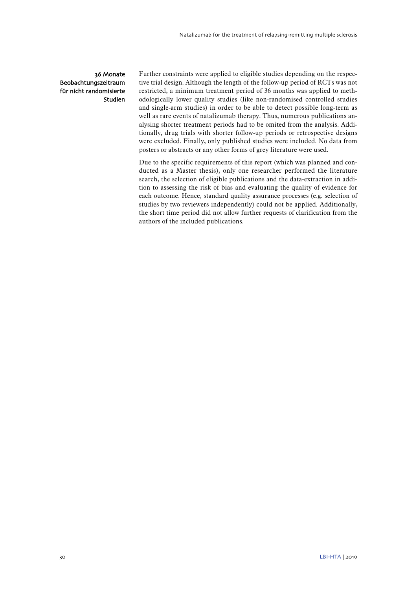## 36 Monate Beobachtungszeitraum für nicht randomisierte Studien

Further constraints were applied to eligible studies depending on the respective trial design. Although the length of the follow-up period of RCTs was not restricted, a minimum treatment period of 36 months was applied to methodologically lower quality studies (like non-randomised controlled studies and single-arm studies) in order to be able to detect possible long-term as well as rare events of natalizumab therapy. Thus, numerous publications analysing shorter treatment periods had to be omited from the analysis. Additionally, drug trials with shorter follow-up periods or retrospective designs were excluded. Finally, only published studies were included. No data from posters or abstracts or any other forms of grey literature were used.

Due to the specific requirements of this report (which was planned and conducted as a Master thesis), only one researcher performed the literature search, the selection of eligible publications and the data-extraction in addition to assessing the risk of bias and evaluating the quality of evidence for each outcome. Hence, standard quality assurance processes (e.g. selection of studies by two reviewers independently) could not be applied. Additionally, the short time period did not allow further requests of clarification from the authors of the included publications.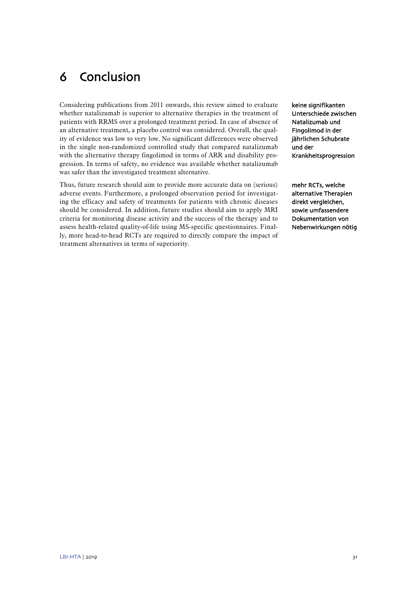# <span id="page-32-0"></span>6 Conclusion

Considering publications from 2011 onwards, this review aimed to evaluate whether natalizumab is superior to alternative therapies in the treatment of patients with RRMS over a prolonged treatment period. In case of absence of an alternative treatment, a placebo control was considered. Overall, the quality of evidence was low to very low. No significant differences were observed in the single non-randomized controlled study that compared natalizumab with the alternative therapy fingolimod in terms of ARR and disability progression. In terms of safety, no evidence was available whether natalizumab was safer than the investigated treatment alternative.

Thus, future research should aim to provide more accurate data on (serious) adverse events. Furthermore, a prolonged observation period for investigating the efficacy and safety of treatments for patients with chronic diseases should be considered. In addition, future studies should aim to apply MRI criteria for monitoring disease activity and the success of the therapy and to assess health-related quality-of-life using MS-specific questionnaires. Finally, more head-to-head RCTs are required to directly compare the impact of treatment alternatives in terms of superiority.

keine signifikanten Unterschiede zwischen Natalizumab und Fingolimod in der jährlichen Schubrate und der Krankheitsprogression

mehr RCTs, welche alternative Therapien direkt vergleichen, sowie umfassendere Dokumentation von Nebenwirkungen nötig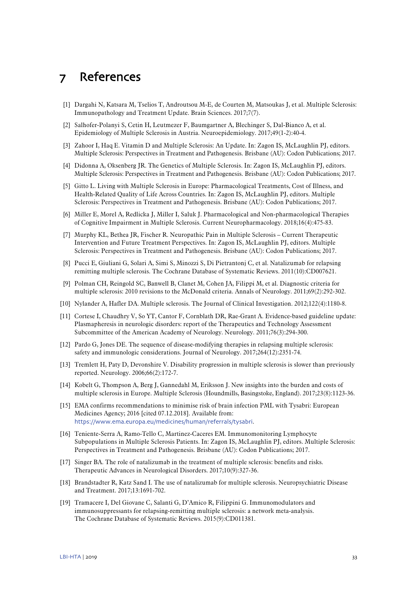# <span id="page-34-0"></span>7 References

- <span id="page-34-1"></span>[1] Dargahi N, Katsara M, Tselios T, Androutsou M-E, de Courten M, Matsoukas J, et al. Multiple Sclerosis: Immunopathology and Treatment Update. Brain Sciences. 2017;7(7).
- <span id="page-34-2"></span>[2] Salhofer-Polanyi S, Cetin H, Leutmezer F, Baumgartner A, Blechinger S, Dal-Bianco A, et al. Epidemiology of Multiple Sclerosis in Austria. Neuroepidemiology. 2017;49(1-2):40-4.
- <span id="page-34-3"></span>[3] Zahoor I, Haq E. Vitamin D and Multiple Sclerosis: An Update. In: Zagon IS, McLaughlin PJ, editors. Multiple Sclerosis: Perspectives in Treatment and Pathogenesis. Brisbane (AU): Codon Publications; 2017.
- <span id="page-34-4"></span>[4] Didonna A, Oksenberg JR. The Genetics of Multiple Sclerosis. In: Zagon IS, McLaughlin PJ, editors. Multiple Sclerosis: Perspectives in Treatment and Pathogenesis. Brisbane (AU): Codon Publications; 2017.
- <span id="page-34-5"></span>[5] Gitto L. Living with Multiple Sclerosis in Europe: Pharmacological Treatments, Cost of Illness, and Health-Related Quality of Life Across Countries. In: Zagon IS, McLaughlin PJ, editors. Multiple Sclerosis: Perspectives in Treatment and Pathogenesis. Brisbane (AU): Codon Publications; 2017.
- <span id="page-34-6"></span>[6] Miller E, Morel A, Redlicka J, Miller I, Saluk J. Pharmacological and Non-pharmacological Therapies of Cognitive Impairment in Multiple Sclerosis. Current Neuropharmacology. 2018;16(4):475-83.
- <span id="page-34-7"></span>[7] Murphy KL, Bethea JR, Fischer R. Neuropathic Pain in Multiple Sclerosis – Current Therapeutic Intervention and Future Treatment Perspectives. In: Zagon IS, McLaughlin PJ, editors. Multiple Sclerosis: Perspectives in Treatment and Pathogenesis. Brisbane (AU): Codon Publications; 2017.
- <span id="page-34-8"></span>[8] Pucci E, Giuliani G, Solari A, Simi S, Minozzi S, Di Pietrantonj C, et al. Natalizumab for relapsing remitting multiple sclerosis. The Cochrane Database of Systematic Reviews. 2011(10):CD007621.
- <span id="page-34-9"></span>[9] Polman CH, Reingold SC, Banwell B, Clanet M, Cohen JA, Filippi M, et al. Diagnostic criteria for multiple sclerosis: 2010 revisions to the McDonald criteria. Annals of Neurology. 2011;69(2):292-302.
- <span id="page-34-10"></span>[10] Nylander A, Hafler DA. Multiple sclerosis. The Journal of Clinical Investigation. 2012;122(4):1180-8.
- <span id="page-34-11"></span>[11] Cortese I, Chaudhry V, So YT, Cantor F, Cornblath DR, Rae-Grant A. Evidence-based guideline update: Plasmapheresis in neurologic disorders: report of the Therapeutics and Technology Assessment Subcommittee of the American Academy of Neurology. Neurology. 2011;76(3):294-300.
- <span id="page-34-12"></span>[12] Pardo G, Jones DE. The sequence of disease-modifying therapies in relapsing multiple sclerosis: safety and immunologic considerations. Journal of Neurology. 2017;264(12):2351-74.
- <span id="page-34-13"></span>[13] Tremlett H, Paty D, Devonshire V. Disability progression in multiple sclerosis is slower than previously reported. Neurology. 2006;66(2):172-7.
- <span id="page-34-14"></span>[14] Kobelt G, Thompson A, Berg J, Gannedahl M, Eriksson J. New insights into the burden and costs of multiple sclerosis in Europe. Multiple Sclerosis (Houndmills, Basingstoke, England). 2017;23(8):1123-36.
- <span id="page-34-15"></span>[15] EMA confirms recommendations to minimise risk of brain infection PML with Tysabri: European Medicines Agency; 2016 [cited 07.12.2018]. Available from: <https://www.ema.europa.eu/medicines/human/referrals/tysabri>.
- <span id="page-34-16"></span>[16] Teniente-Serra A, Ramo-Tello C, Martinez-Caceres EM. Immunomonitoring Lymphocyte Subpopulations in Multiple Sclerosis Patients. In: Zagon IS, McLaughlin PJ, editors. Multiple Sclerosis: Perspectives in Treatment and Pathogenesis. Brisbane (AU): Codon Publications; 2017.
- <span id="page-34-17"></span>[17] Singer BA. The role of natalizumab in the treatment of multiple sclerosis: benefits and risks. Therapeutic Advances in Neurological Disorders. 2017;10(9):327-36.
- <span id="page-34-18"></span>[18] Brandstadter R, Katz Sand I. The use of natalizumab for multiple sclerosis. Neuropsychiatric Disease and Treatment. 2017;13:1691-702.
- <span id="page-34-19"></span>[19] Tramacere I, Del Giovane C, Salanti G, D'Amico R, Filippini G. Immunomodulators and immunosuppressants for relapsing-remitting multiple sclerosis: a network meta-analysis. The Cochrane Database of Systematic Reviews. 2015(9):CD011381.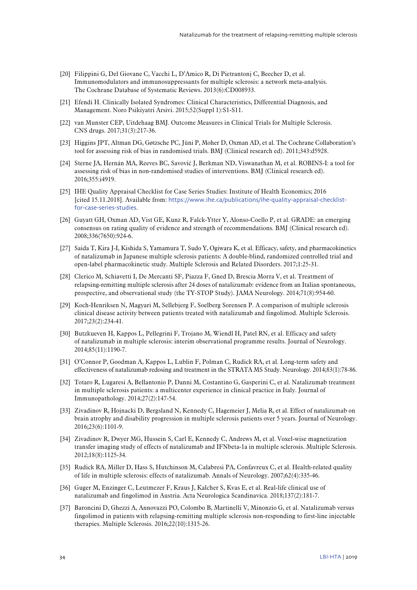- <span id="page-35-24"></span><span id="page-35-0"></span>[20] Filippini G, Del Giovane C, Vacchi L, D'Amico R, Di Pietrantonj C, Beecher D, et al. Immunomodulators and immunosuppressants for multiple sclerosis: a network meta-analysis. The Cochrane Database of Systematic Reviews. 2013(6):CD008933.
- <span id="page-35-18"></span><span id="page-35-1"></span>[21] Efendi H. Clinically Isolated Syndromes: Clinical Characteristics, Differential Diagnosis, and Management. Noro Psikiyatri Arsivi. 2015;52(Suppl 1):S1-S11.
- <span id="page-35-19"></span><span id="page-35-2"></span>[22] van Munster CEP, Uitdehaag BMJ. Outcome Measures in Clinical Trials for Multiple Sclerosis. CNS drugs. 2017;31(3):217-36.
- <span id="page-35-3"></span>[23] Higgins JPT, Altman DG, Gøtzsche PC, Jüni P, Moher D, Oxman AD, et al. The Cochrane Collaboration's tool for assessing risk of bias in randomised trials. BMJ (Clinical research ed). 2011;343:d5928.
- <span id="page-35-20"></span><span id="page-35-4"></span>[24] Sterne JA, Hernán MA, Reeves BC, Savović J, Berkman ND, Viswanathan M, et al. ROBINS-I: a tool for assessing risk of bias in non-randomised studies of interventions. BMJ (Clinical research ed). 2016;355:i4919.
- <span id="page-35-21"></span><span id="page-35-5"></span>[25] IHE Quality Appraisal Checklist for Case Series Studies: Institute of Health Economics; 2016 [cited 15.11.2018]. Available from: [https://www.ihe.ca/publications/ihe-quality-appraisal-checklist](https://www.ihe.ca/publications/ihe-quality-appraisal-checklist-for-case-series-studies)[for-case-series-studies](https://www.ihe.ca/publications/ihe-quality-appraisal-checklist-for-case-series-studies).
- <span id="page-35-22"></span><span id="page-35-6"></span>[26] Guyatt GH, Oxman AD, Vist GE, Kunz R, Falck-Ytter Y, Alonso-Coello P, et al. GRADE: an emerging consensus on rating quality of evidence and strength of recommendations. BMJ (Clinical research ed). 2008;336(7650):924-6.
- <span id="page-35-23"></span><span id="page-35-7"></span>[27] Saida T, Kira J-I, Kishida S, Yamamura T, Sudo Y, Ogiwara K, et al. Efficacy, safety, and pharmacokinetics of natalizumab in Japanese multiple sclerosis patients: A double-blind, randomized controlled trial and open-label pharmacokinetic study. Multiple Sclerosis and Related Disorders. 2017;1:25-31.
- <span id="page-35-8"></span>[28] Clerico M, Schiavetti I, De Mercanti SF, Piazza F, Gned D, Brescia Morra V, et al. Treatment of relapsing-remitting multiple sclerosis after 24 doses of natalizumab: evidence from an Italian spontaneous, prospective, and observational study (the TY-STOP Study). JAMA Neurology. 2014;71(8):954-60.
- <span id="page-35-26"></span><span id="page-35-9"></span>[29] Koch-Henriksen N, Magyari M, Sellebjerg F, Soelberg Sorensen P. A comparison of multiple sclerosis clinical disease activity between patients treated with natalizumab and fingolimod. Multiple Sclerosis. 2017;23(2):234-41.
- <span id="page-35-25"></span><span id="page-35-10"></span>[30] Butzkueven H, Kappos L, Pellegrini F, Trojano M, Wiendl H, Patel RN, et al. Efficacy and safety of natalizumab in multiple sclerosis: interim observational programme results. Journal of Neurology. 2014;85(11):1190-7.
- <span id="page-35-11"></span>[31] O'Connor P, Goodman A, Kappos L, Lublin F, Polman C, Rudick RA, et al. Long-term safety and effectiveness of natalizumab redosing and treatment in the STRATA MS Study. Neurology. 2014;83(1):78-86.
- <span id="page-35-12"></span>[32] Totaro R, Lugaresi A, Bellantonio P, Danni M, Costantino G, Gasperini C, et al. Natalizumab treatment in multiple sclerosis patients: a multicenter experience in clinical practice in Italy. Journal of Immunopathology. 2014;27(2):147-54.
- <span id="page-35-13"></span>[33] Zivadinov R, Hojnacki D, Bergsland N, Kennedy C, Hagemeier J, Melia R, et al. Effect of natalizumab on brain atrophy and disability progression in multiple sclerosis patients over 5 years. Journal of Neurology. 2016;23(6):1101-9.
- <span id="page-35-14"></span>[34] Zivadinov R, Dwyer MG, Hussein S, Carl E, Kennedy C, Andrews M, et al. Voxel-wise magnetization transfer imaging study of effects of natalizumab and IFNbeta-1a in multiple sclerosis. Multiple Sclerosis. 2012;18(8):1125-34.
- <span id="page-35-15"></span>[35] Rudick RA, Miller D, Hass S, Hutchinson M, Calabresi PA, Confavreux C, et al. Health-related quality of life in multiple sclerosis: effects of natalizumab. Annals of Neurology. 2007;62(4):335-46.
- <span id="page-35-16"></span>[36] Guger M, Enzinger C, Leutmezer F, Kraus J, Kalcher S, Kvas E, et al. Real-life clinical use of natalizumab and fingolimod in Austria. Acta Neurologica Scandinavica. 2018;137(2):181-7.
- <span id="page-35-17"></span>[37] Baroncini D, Ghezzi A, Annovazzi PO, Colombo B, Martinelli V, Minonzio G, et al. Natalizumab versus fingolimod in patients with relapsing-remitting multiple sclerosis non-responding to first-line injectable therapies. Multiple Sclerosis. 2016;22(10):1315-26.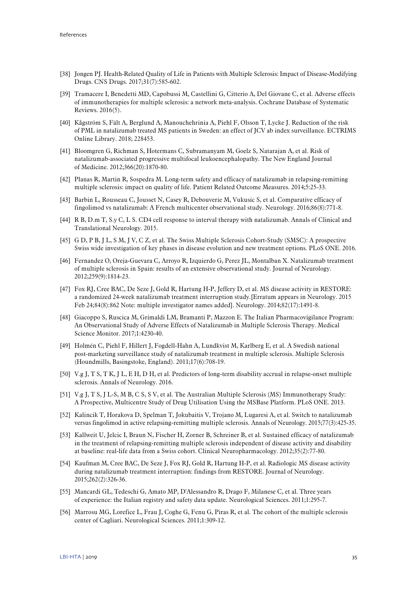- <span id="page-36-7"></span><span id="page-36-6"></span><span id="page-36-5"></span><span id="page-36-0"></span>[38] Jongen PJ. Health-Related Quality of Life in Patients with Multiple Sclerosis: Impact of Disease-Modifying Drugs. CNS Drugs. 2017;31(7):585-602.
- <span id="page-36-8"></span><span id="page-36-1"></span>[39] Tramacere I, Benedetti MD, Capobussi M, Castellini G, Citterio A, Del Giovane C, et al. Adverse effects of immunotherapies for multiple sclerosis: a network meta‐analysis. Cochrane Database of Systematic Reviews. 2016(5).
- <span id="page-36-9"></span><span id="page-36-2"></span>[40] Kågström S, Fält A, Berglund A, Manouchehrinia A, Piehl F, Olsson T, Lycke J. Reduction of the risk of PML in natalizumab treated MS patients in Sweden: an effect of JCV ab index surveillance. ECTRIMS Online Library. 2018; 228453.
- <span id="page-36-10"></span><span id="page-36-3"></span>[41] Bloomgren G, Richman S, Hotermans C, Subramanyam M, Goelz S, Natarajan A, et al. Risk of natalizumab-associated progressive multifocal leukoencephalopathy. The New England Journal of Medicine. 2012;366(20):1870-80.
- <span id="page-36-11"></span><span id="page-36-4"></span>[42] Planas R, Martin R, Sospedra M. Long-term safety and efficacy of natalizumab in relapsing-remitting multiple sclerosis: impact on quality of life. Patient Related Outcome Measures. 2014;5:25-33.
- <span id="page-36-12"></span>[43] Barbin L, Rousseau C, Jousset N, Casey R, Debouverie M, Vukusic S, et al. Comparative efficacy of fingolimod vs natalizumab: A French multicenter observational study. Neurology. 2016;86(8):771-8.
- <span id="page-36-13"></span>[44] R B, D.m T, S.y C, L S. CD4 cell response to interval therapy with natalizumab. Annals of Clinical and Translational Neurology. 2015.
- <span id="page-36-14"></span>[45] G D, P B, J L, S M, J V, C Z, et al. The Swiss Multiple Sclerosis Cohort-Study (SMSC): A prospective Swiss wide investigation of key phases in disease evolution and new treatment options. PLoS ONE. 2016.
- <span id="page-36-15"></span>[46] Fernandez O, Oreja-Guevara C, Arroyo R, Izquierdo G, Perez JL, Montalban X. Natalizumab treatment of multiple sclerosis in Spain: results of an extensive observational study. Journal of Neurology. 2012;259(9):1814-23.
- <span id="page-36-16"></span>[47] Fox RJ, Cree BAC, De Seze J, Gold R, Hartung H-P, Jeffery D, et al. MS disease activity in RESTORE: a randomized 24-week natalizumab treatment interruption study.[Erratum appears in Neurology. 2015 Feb 24;84(8):862 Note: multiple investigator names added]. Neurology. 2014;82(17):1491-8.
- <span id="page-36-17"></span>[48] Giacoppo S, Ruscica M, Grimaldi LM, Bramanti P, Mazzon E. The Italian Pharmacovigilance Program: An Observational Study of Adverse Effects of Natalizumab in Multiple Sclerosis Therapy. Medical Science Monitor. 2017;1:4230-40.
- <span id="page-36-18"></span>[49] Holmén C, Piehl F, Hillert J, Fogdell-Hahn A, Lundkvist M, Karlberg E, et al. A Swedish national post-marketing surveillance study of natalizumab treatment in multiple sclerosis. Multiple Sclerosis (Houndmills, Basingstoke, England). 2011;17(6):708-19.
- [50] V.g J, T S, T K, J L, E H, D H, et al. Predictors of long-term disability accrual in relapse-onset multiple sclerosis. Annals of Neurology. 2016.
- [51] V.g J, T S, J L-S, M B, C S, S V, et al. The Australian Multiple Sclerosis (MS) Immunotherapy Study: A Prospective, Multicentre Study of Drug Utilisation Using the MSBase Platform. PLoS ONE. 2013.
- [52] Kalincik T, Horakova D, Spelman T, Jokubaitis V, Trojano M, Lugaresi A, et al. Switch to natalizumab versus fingolimod in active relapsing-remitting multiple sclerosis. Annals of Neurology. 2015;77(3):425-35.
- [53] Kallweit U, Jelcic I, Braun N, Fischer H, Zorner B, Schreiner B, et al. Sustained efficacy of natalizumab in the treatment of relapsing-remitting multiple sclerosis independent of disease activity and disability at baseline: real-life data from a Swiss cohort. Clinical Neuropharmacology. 2012;35(2):77-80.
- [54] Kaufman M, Cree BAC, De Seze J, Fox RJ, Gold R, Hartung H-P, et al. Radiologic MS disease activity during natalizumab treatment interruption: findings from RESTORE. Journal of Neurology. 2015;262(2):326-36.
- [55] Mancardi GL, Tedeschi G, Amato MP, D'Alessandro R, Drago F, Milanese C, et al. Three years of experience: the Italian registry and safety data update. Neurological Sciences. 2011;1:295-7.
- [56] Marrosu MG, Lorefice L, Frau J, Coghe G, Fenu G, Piras R, et al. The cohort of the multiple sclerosis center of Cagliari. Neurological Sciences. 2011;1:309-12.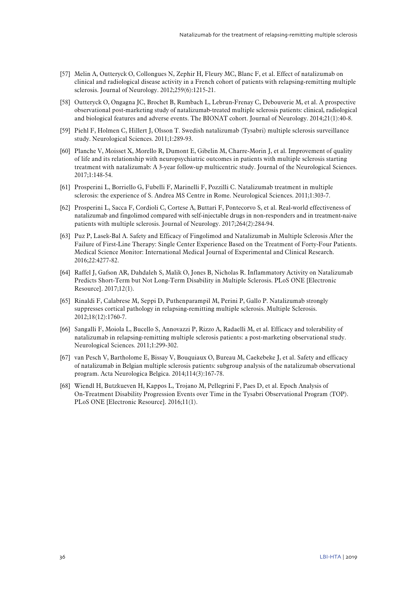- <span id="page-37-6"></span><span id="page-37-5"></span><span id="page-37-4"></span><span id="page-37-3"></span><span id="page-37-2"></span><span id="page-37-1"></span><span id="page-37-0"></span>[57] Melin A, Outteryck O, Collongues N, Zephir H, Fleury MC, Blanc F, et al. Effect of natalizumab on clinical and radiological disease activity in a French cohort of patients with relapsing-remitting multiple sclerosis. Journal of Neurology. 2012;259(6):1215-21.
- <span id="page-37-7"></span>[58] Outteryck O, Ongagna JC, Brochet B, Rumbach L, Lebrun-Frenay C, Debouverie M, et al. A prospective observational post-marketing study of natalizumab-treated multiple sclerosis patients: clinical, radiological and biological features and adverse events. The BIONAT cohort. Journal of Neurology. 2014;21(1):40-8.
- <span id="page-37-8"></span>[59] Piehl F, Holmen C, Hillert J, Olsson T. Swedish natalizumab (Tysabri) multiple sclerosis surveillance study. Neurological Sciences. 2011;1:289-93.
- <span id="page-37-9"></span>[60] Planche V, Moisset X, Morello R, Dumont E, Gibelin M, Charre-Morin J, et al. Improvement of quality of life and its relationship with neuropsychiatric outcomes in patients with multiple sclerosis starting treatment with natalizumab: A 3-year follow-up multicentric study. Journal of the Neurological Sciences. 2017;1:148-54.
- <span id="page-37-10"></span>[61] Prosperini L, Borriello G, Fubelli F, Marinelli F, Pozzilli C. Natalizumab treatment in multiple sclerosis: the experience of S. Andrea MS Centre in Rome. Neurological Sciences. 2011;1:303-7.
- <span id="page-37-11"></span>[62] Prosperini L, Sacca F, Cordioli C, Cortese A, Buttari F, Pontecorvo S, et al. Real-world effectiveness of natalizumab and fingolimod compared with self-injectable drugs in non-responders and in treatment-naive patients with multiple sclerosis. Journal of Neurology. 2017;264(2):284-94.
- [63] Puz P, Lasek-Bal A. Safety and Efficacy of Fingolimod and Natalizumab in Multiple Sclerosis After the Failure of First-Line Therapy: Single Center Experience Based on the Treatment of Forty-Four Patients. Medical Science Monitor: International Medical Journal of Experimental and Clinical Research. 2016;22:4277-82.
- [64] Raffel J, Gafson AR, Dahdaleh S, Malik O, Jones B, Nicholas R. Inflammatory Activity on Natalizumab Predicts Short-Term but Not Long-Term Disability in Multiple Sclerosis. PLoS ONE [Electronic Resource]. 2017;12(1).
- [65] Rinaldi F, Calabrese M, Seppi D, Puthenparampil M, Perini P, Gallo P. Natalizumab strongly suppresses cortical pathology in relapsing-remitting multiple sclerosis. Multiple Sclerosis. 2012;18(12):1760-7.
- [66] Sangalli F, Moiola L, Bucello S, Annovazzi P, Rizzo A, Radaelli M, et al. Efficacy and tolerability of natalizumab in relapsing-remitting multiple sclerosis patients: a post-marketing observational study. Neurological Sciences. 2011;1:299-302.
- [67] van Pesch V, Bartholome E, Bissay V, Bouquiaux O, Bureau M, Caekebeke J, et al. Safety and efficacy of natalizumab in Belgian multiple sclerosis patients: subgroup analysis of the natalizumab observational program. Acta Neurologica Belgica. 2014;114(3):167-78.
- [68] Wiendl H, Butzkueven H, Kappos L, Trojano M, Pellegrini F, Paes D, et al. Epoch Analysis of On-Treatment Disability Progression Events over Time in the Tysabri Observational Program (TOP). PLoS ONE [Electronic Resource]. 2016;11(1).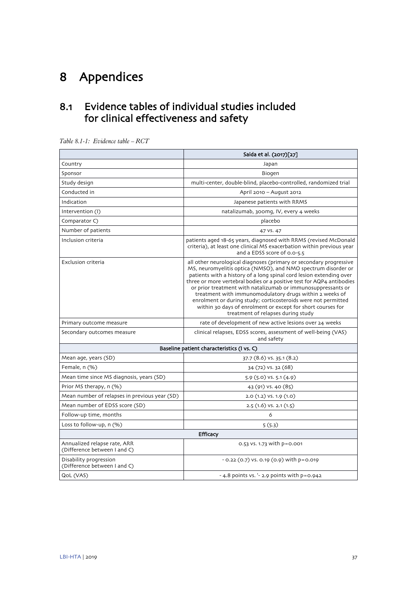# <span id="page-38-0"></span>8 Appendices

# <span id="page-38-1"></span>8.1 Evidence tables of individual studies included for clinical effectiveness and safety

|                                                              | Saida et al. (2017)[27]                                                                                                                                                                                                                                                                                                                                                                                                                                                                                                                                                              |  |
|--------------------------------------------------------------|--------------------------------------------------------------------------------------------------------------------------------------------------------------------------------------------------------------------------------------------------------------------------------------------------------------------------------------------------------------------------------------------------------------------------------------------------------------------------------------------------------------------------------------------------------------------------------------|--|
| Country                                                      | Japan                                                                                                                                                                                                                                                                                                                                                                                                                                                                                                                                                                                |  |
| Sponsor                                                      | Biogen                                                                                                                                                                                                                                                                                                                                                                                                                                                                                                                                                                               |  |
| Study design                                                 | multi-center, double-blind, placebo-controlled, randomized trial                                                                                                                                                                                                                                                                                                                                                                                                                                                                                                                     |  |
| Conducted in                                                 | April 2010 - August 2012                                                                                                                                                                                                                                                                                                                                                                                                                                                                                                                                                             |  |
| Indication                                                   | Japanese patients with RRMS                                                                                                                                                                                                                                                                                                                                                                                                                                                                                                                                                          |  |
| Intervention (I)                                             | natalizumab, 300mg, IV, every 4 weeks                                                                                                                                                                                                                                                                                                                                                                                                                                                                                                                                                |  |
| Comparator C)                                                | placebo                                                                                                                                                                                                                                                                                                                                                                                                                                                                                                                                                                              |  |
| Number of patients                                           | 47 VS. 47                                                                                                                                                                                                                                                                                                                                                                                                                                                                                                                                                                            |  |
| Inclusion criteria                                           | patients aged 18-65 years, diagnosed with RRMS (revised McDonald<br>criteria), at least one clinical MS exacerbation within previous year<br>and a EDSS score of 0.0-5.5                                                                                                                                                                                                                                                                                                                                                                                                             |  |
| Exclusion criteria                                           | all other neurological diagnoses (primary or secondary progressive<br>MS, neuromyelitis optica (NMSO), and NMO spectrum disorder or<br>patients with a history of a long spinal cord lesion extending over<br>three or more vertebral bodies or a positive test for AQP4 antibodies<br>or prior treatment with natalizumab or immunosuppressants or<br>treatment with immunomodulatory drugs within 2 weeks of<br>enrolment or during study; corticosteroids were not permitted<br>within 30 days of enrolment or except for short courses for<br>treatment of relapses during study |  |
| Primary outcome measure                                      | rate of development of new active lesions over 24 weeks                                                                                                                                                                                                                                                                                                                                                                                                                                                                                                                              |  |
| Secondary outcomes measure                                   | clinical relapses, EDSS scores, assessment of well-being (VAS)<br>and safety                                                                                                                                                                                                                                                                                                                                                                                                                                                                                                         |  |
|                                                              | Baseline patient characteristics (I vs. C)                                                                                                                                                                                                                                                                                                                                                                                                                                                                                                                                           |  |
| Mean age, years (SD)                                         | $37.7(8.6)$ VS. $35.1(8.2)$                                                                                                                                                                                                                                                                                                                                                                                                                                                                                                                                                          |  |
| Female, n (%)                                                | 34 (72) VS. 32 (68)                                                                                                                                                                                                                                                                                                                                                                                                                                                                                                                                                                  |  |
| Mean time since MS diagnosis, years (SD)                     | $5.9(5.0)$ VS. $5.1(4.9)$                                                                                                                                                                                                                                                                                                                                                                                                                                                                                                                                                            |  |
| Prior MS therapy, n (%)                                      | 43 (91) VS. 40 (85)                                                                                                                                                                                                                                                                                                                                                                                                                                                                                                                                                                  |  |
| Mean number of relapses in previous year (SD)                | $2.0(1.2)$ VS. 1.9 $(1.0)$                                                                                                                                                                                                                                                                                                                                                                                                                                                                                                                                                           |  |
| Mean number of EDSS score (SD)                               | $2.5(1.6)$ VS. $2.1(1.5)$                                                                                                                                                                                                                                                                                                                                                                                                                                                                                                                                                            |  |
| Follow-up time, months                                       | 6                                                                                                                                                                                                                                                                                                                                                                                                                                                                                                                                                                                    |  |
| Loss to follow-up, n (%)                                     | 5(5.3)                                                                                                                                                                                                                                                                                                                                                                                                                                                                                                                                                                               |  |
| <b>Efficacy</b>                                              |                                                                                                                                                                                                                                                                                                                                                                                                                                                                                                                                                                                      |  |
| Annualized relapse rate, ARR<br>(Difference between I and C) | 0.53 vs. 1.73 with p=0.001                                                                                                                                                                                                                                                                                                                                                                                                                                                                                                                                                           |  |
| Disability progression<br>(Difference between I and C)       | $-0.22$ (0.7) vs. 0.19 (0.9) with p=0.019                                                                                                                                                                                                                                                                                                                                                                                                                                                                                                                                            |  |
| QoL (VAS)                                                    | - 4.8 points vs. $-$ 2.9 points with $p = 0.942$                                                                                                                                                                                                                                                                                                                                                                                                                                                                                                                                     |  |

<span id="page-38-2"></span>*Table 8.1-1: Evidence table – RCT*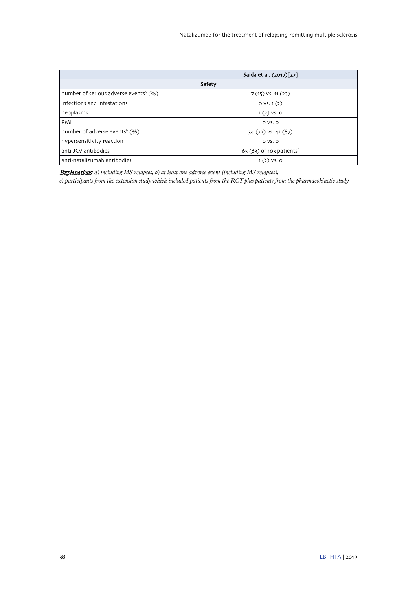|                                                   | Saida et al. (2017)[27]               |
|---------------------------------------------------|---------------------------------------|
|                                                   | Safety                                |
| number of serious adverse events <sup>a</sup> (%) | $7(15)$ VS. 11 $(23)$                 |
| infections and infestations                       | OVS.1(2)                              |
| neoplasms                                         | $1(2)$ VS. O                          |
| PML                                               | $OVS$ . $O$                           |
| number of adverse events <sup>b</sup> (%)         | 34 (72) VS. 41 (87)                   |
| hypersensitivity reaction                         | $OVS$ . $O$                           |
| anti-JCV antibodies                               | $65(63)$ of 103 patients <sup>c</sup> |
| anti-natalizumab antibodies                       | $1(2)$ VS. O                          |

Explanations: *a) including MS relapses, b) at least one adverse event (including MS relapses),* 

*c) participants from the extension study which included patients from the RCT plus patients from the pharmacokinetic study*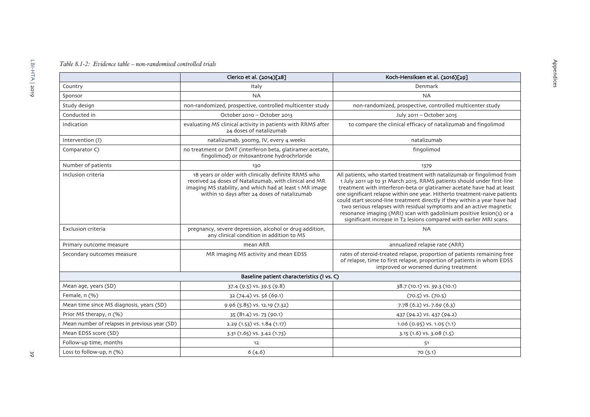## *Table 8.1-2: Evidence table – non-randomised controlled trials*

<span id="page-40-0"></span>

|                                               | Clerico et al. (2014)[28]                                                                                                                                                                                                | Koch-Hensiksen et al. (2016)[29]                                                                                                                                                                                                                                                                                                                                                                                                                                                                                                                                                                            |
|-----------------------------------------------|--------------------------------------------------------------------------------------------------------------------------------------------------------------------------------------------------------------------------|-------------------------------------------------------------------------------------------------------------------------------------------------------------------------------------------------------------------------------------------------------------------------------------------------------------------------------------------------------------------------------------------------------------------------------------------------------------------------------------------------------------------------------------------------------------------------------------------------------------|
| Country                                       | Italy                                                                                                                                                                                                                    | Denmark                                                                                                                                                                                                                                                                                                                                                                                                                                                                                                                                                                                                     |
| Sponsor                                       | <b>NA</b>                                                                                                                                                                                                                | <b>NA</b>                                                                                                                                                                                                                                                                                                                                                                                                                                                                                                                                                                                                   |
| Study design                                  | non-randomized, prospective, controlled multicenter study                                                                                                                                                                | non-randomized, prospective, controlled multicenter study                                                                                                                                                                                                                                                                                                                                                                                                                                                                                                                                                   |
| Conducted in                                  | October 2010 - October 2013                                                                                                                                                                                              | July 2011 - October 2015                                                                                                                                                                                                                                                                                                                                                                                                                                                                                                                                                                                    |
| Indication                                    | evaluating MS clinical activity in patients with RRMS after<br>24 doses of natalizumab                                                                                                                                   | to compare the clinical efficacy of natalizumab and fingolimod                                                                                                                                                                                                                                                                                                                                                                                                                                                                                                                                              |
| Intervention (I)                              | natalizumab, 300mg, IV, every 4 weeks                                                                                                                                                                                    | natalizumab                                                                                                                                                                                                                                                                                                                                                                                                                                                                                                                                                                                                 |
| Comparator C)                                 | no treatment or DMT (interferon beta, glatiramer acetate,<br>fingolimod) or mitoxantrone hydrochrloride                                                                                                                  | fingolimod                                                                                                                                                                                                                                                                                                                                                                                                                                                                                                                                                                                                  |
| Number of patients                            | 130                                                                                                                                                                                                                      | 1379                                                                                                                                                                                                                                                                                                                                                                                                                                                                                                                                                                                                        |
| Inclusion criteria                            | 18 years or older with clinically definite RRMS who<br>received 24 doses of Natalizumab, with clinical and MR<br>imaging MS stability, and which had at least 1 MR image<br>within 10 days after 24 doses of natalizumab | All patients, who started treatment with natalizumab or fingolimod from<br>1 July 2011 up to 31 March 2015. RRMS patients should under first-line<br>treatment with interferon-beta or glatiramer acetate have had at least<br>one significant relapse within one year. Hitherto treatment-naive patients<br>could start second-line treatment directly if they within a year have had<br>two serious relapses with residual symptoms and an active magnetic<br>resonance imaging (MRI) scan with gadolinium positive lesion(s) or a<br>significant increase in T2 lesions compared with earlier MRI scans. |
| Exclusion criteria                            | pregnancy, severe depression, alcohol or drug addition,<br>any clinical condition in addition to MS                                                                                                                      | <b>NA</b>                                                                                                                                                                                                                                                                                                                                                                                                                                                                                                                                                                                                   |
| Primary outcome measure                       | mean ARR                                                                                                                                                                                                                 | annualized relapse rate (ARR)                                                                                                                                                                                                                                                                                                                                                                                                                                                                                                                                                                               |
| Secondary outcomes measure                    | MR imaging MS activity and mean EDSS                                                                                                                                                                                     | rates of steroid-treated relapse, proportion of patients remaining free<br>of relapse, time to first relapse, proportion of patients in whom EDSS<br>improved or worsened during treatment                                                                                                                                                                                                                                                                                                                                                                                                                  |
|                                               | Baseline patient characteristics (I vs. C)                                                                                                                                                                               |                                                                                                                                                                                                                                                                                                                                                                                                                                                                                                                                                                                                             |
| Mean age, years (SD)                          | 37.4 (9.5) VS. 39.5 (9.8)                                                                                                                                                                                                | 38.7 (10.1) VS. 39.3 (10.1)                                                                                                                                                                                                                                                                                                                                                                                                                                                                                                                                                                                 |
| Female, n (%)                                 | 32 (74.4) VS. 56 (69.1)                                                                                                                                                                                                  | $(70.5)$ VS. $(70.5)$                                                                                                                                                                                                                                                                                                                                                                                                                                                                                                                                                                                       |
| Mean time since MS diagnosis, years (SD)      | 9.96 (5.85) VS. 12.19 (7.32)                                                                                                                                                                                             | 7.78 (6.2) vs. 7.69 (6.3)                                                                                                                                                                                                                                                                                                                                                                                                                                                                                                                                                                                   |
| Prior MS therapy, n (%)                       | 35 (81.4) VS. 73 (90.1)                                                                                                                                                                                                  | 437 (94.2) VS. 437 (94.2)                                                                                                                                                                                                                                                                                                                                                                                                                                                                                                                                                                                   |
| Mean number of relapses in previous year (SD) | $2.29(1.53)$ VS. $1.84(1.17)$                                                                                                                                                                                            | $1.06(0.95)$ VS. $1.05(1.1)$                                                                                                                                                                                                                                                                                                                                                                                                                                                                                                                                                                                |
| Mean EDSS score (SD)                          | 3.31 (1.65) VS. 3.42 (1.73)                                                                                                                                                                                              | $3.15(1.6)$ VS. $3.08(1.5)$                                                                                                                                                                                                                                                                                                                                                                                                                                                                                                                                                                                 |
| Follow-up time, months                        | 12                                                                                                                                                                                                                       | 51                                                                                                                                                                                                                                                                                                                                                                                                                                                                                                                                                                                                          |
| Loss to follow-up, n (%)                      | 6(4.6)                                                                                                                                                                                                                   | 70(5.1)                                                                                                                                                                                                                                                                                                                                                                                                                                                                                                                                                                                                     |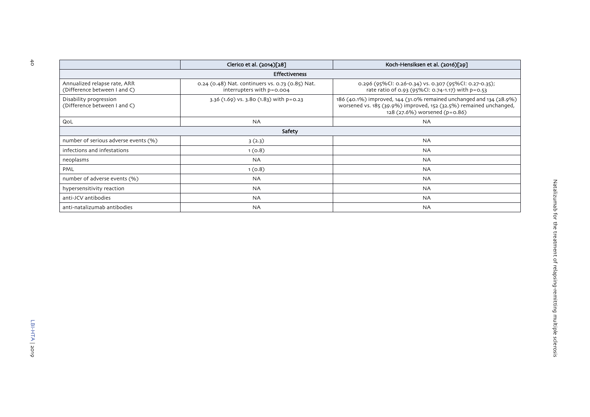|                                                              | Clerico et al. (2014)[28]                                                     | Koch-Hensiksen et al. (2016)[29]                                                                                                                                           |
|--------------------------------------------------------------|-------------------------------------------------------------------------------|----------------------------------------------------------------------------------------------------------------------------------------------------------------------------|
|                                                              | <b>Effectiveness</b>                                                          |                                                                                                                                                                            |
| Annualized relapse rate, ARR<br>(Difference between I and C) | 0.24 (0.48) Nat. continuers vs. 0.73 (0.85) Nat.<br>interrupters with p=0.004 | 0.296 (95%Cl: 0.26-0.34) vs. 0.307 (95%Cl: 0.27-0.35);<br>rate ratio of 0.93 (95%CI: 0.74-1.17) with p=0.53                                                                |
| Disability progression<br>(Difference between I and C)       | 3.36 (1.69) vs. 3.80 (1.83) with p=0.23                                       | 186 (40.1%) improved, 144 (31.0% remained unchanged and 134 (28.9%)<br>worsened vs. 185 (39.9%) improved, 152 (32.5%) remained unchanged,<br>128 (27.6%) worsened (p=0.86) |
| QoL                                                          | <b>NA</b>                                                                     | <b>NA</b>                                                                                                                                                                  |
|                                                              | Safety                                                                        |                                                                                                                                                                            |
| number of serious adverse events (%)                         | 3(2.3)                                                                        | <b>NA</b>                                                                                                                                                                  |
| infections and infestations                                  | 1(0.8)                                                                        | <b>NA</b>                                                                                                                                                                  |
| neoplasms                                                    | <b>NA</b>                                                                     | <b>NA</b>                                                                                                                                                                  |
| PML                                                          | 1(0.8)                                                                        | <b>NA</b>                                                                                                                                                                  |
| number of adverse events (%)                                 | <b>NA</b>                                                                     | <b>NA</b>                                                                                                                                                                  |
| hypersensitivity reaction                                    | <b>NA</b>                                                                     | <b>NA</b>                                                                                                                                                                  |
| anti-JCV antibodies                                          | <b>NA</b>                                                                     | <b>NA</b>                                                                                                                                                                  |
| anti-natalizumab antibodies                                  | <b>NA</b>                                                                     | <b>NA</b>                                                                                                                                                                  |

Natalizumab for the treatment of relapsing-remitting multiple sclerosis

Natalizumab for the treatment of relapsing-remitting multiple sclerosis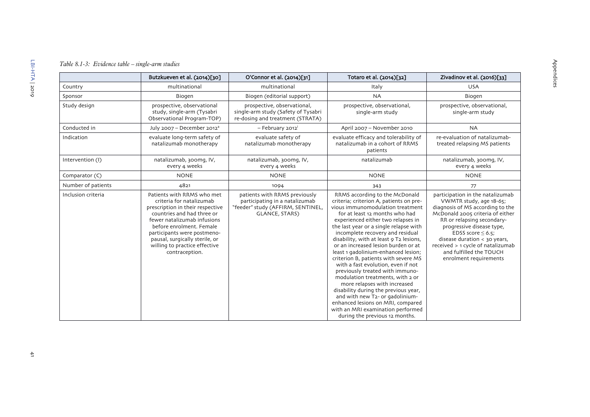## *Table 8.1-3: Evidence table – single-arm studies*

<span id="page-42-0"></span>

|                    | Butzkueven et al. (2014)[30]                                                                                                                                                                                                                                                                            | O'Connor et al. (2014)[31]                                                                                                                                                      | Totaro et al. (2014)[32]                                                                                                                                                                                                                                                                                                                                                                                                                                                                                                                                                                                                                                                                                                                                                 | Zivadinov et al. (2016)[33]                                                                                                                                                                                                                                                                                                                        |
|--------------------|---------------------------------------------------------------------------------------------------------------------------------------------------------------------------------------------------------------------------------------------------------------------------------------------------------|---------------------------------------------------------------------------------------------------------------------------------------------------------------------------------|--------------------------------------------------------------------------------------------------------------------------------------------------------------------------------------------------------------------------------------------------------------------------------------------------------------------------------------------------------------------------------------------------------------------------------------------------------------------------------------------------------------------------------------------------------------------------------------------------------------------------------------------------------------------------------------------------------------------------------------------------------------------------|----------------------------------------------------------------------------------------------------------------------------------------------------------------------------------------------------------------------------------------------------------------------------------------------------------------------------------------------------|
| Country            | multinational                                                                                                                                                                                                                                                                                           | multinational                                                                                                                                                                   | Italy                                                                                                                                                                                                                                                                                                                                                                                                                                                                                                                                                                                                                                                                                                                                                                    | <b>USA</b>                                                                                                                                                                                                                                                                                                                                         |
| Sponsor            | Biogen                                                                                                                                                                                                                                                                                                  | Biogen (editorial support)                                                                                                                                                      | <b>NA</b>                                                                                                                                                                                                                                                                                                                                                                                                                                                                                                                                                                                                                                                                                                                                                                | Biogen                                                                                                                                                                                                                                                                                                                                             |
| Study design       | prospective, observational<br>study, single-arm (Tysabri<br>Observational Program-TOP)                                                                                                                                                                                                                  | prospective, observational,<br>single-arm study (Safety of Tysabri<br>re-dosing and treatment (STRATA)                                                                          | prospective, observational,<br>single-arm study                                                                                                                                                                                                                                                                                                                                                                                                                                                                                                                                                                                                                                                                                                                          | prospective, observational,<br>single-arm study                                                                                                                                                                                                                                                                                                    |
| Conducted in       | July 2007 - December 2012 <sup>a</sup>                                                                                                                                                                                                                                                                  | - February 2012                                                                                                                                                                 | April 2007 - November 2010                                                                                                                                                                                                                                                                                                                                                                                                                                                                                                                                                                                                                                                                                                                                               | <b>NA</b>                                                                                                                                                                                                                                                                                                                                          |
| Indication         | evaluate long-term safety of<br>natalizumab monotherapy                                                                                                                                                                                                                                                 | evaluate safety of<br>evaluate efficacy and tolerability of<br>natalizumab monotherapy<br>natalizumab in a cohort of RRMS<br>patients<br>natalizumab, 300mg, IV,<br>natalizumab |                                                                                                                                                                                                                                                                                                                                                                                                                                                                                                                                                                                                                                                                                                                                                                          | re-evaluation of natalizumab-<br>treated relapsing MS patients                                                                                                                                                                                                                                                                                     |
| Intervention (I)   | natalizumab, 300mg, IV,<br>every 4 weeks                                                                                                                                                                                                                                                                | every 4 weeks                                                                                                                                                                   |                                                                                                                                                                                                                                                                                                                                                                                                                                                                                                                                                                                                                                                                                                                                                                          | natalizumab, 300mg, IV,<br>every 4 weeks                                                                                                                                                                                                                                                                                                           |
| Comparator (C)     | <b>NONE</b>                                                                                                                                                                                                                                                                                             | <b>NONE</b>                                                                                                                                                                     | <b>NONE</b>                                                                                                                                                                                                                                                                                                                                                                                                                                                                                                                                                                                                                                                                                                                                                              | <b>NONE</b>                                                                                                                                                                                                                                                                                                                                        |
| Number of patients | 4821                                                                                                                                                                                                                                                                                                    | 1094                                                                                                                                                                            | 343                                                                                                                                                                                                                                                                                                                                                                                                                                                                                                                                                                                                                                                                                                                                                                      | 77                                                                                                                                                                                                                                                                                                                                                 |
| Inclusion criteria | Patients with RRMS who met<br>criteria for natalizumab<br>prescription in their respective<br>countries and had three or<br>fewer natalizumab infusions<br>before enrolment. Female<br>participants were postmeno-<br>pausal, surgically sterile, or<br>willing to practice effective<br>contraception. | patients with RRMS previously<br>participating in a natalizumab<br>"feeder" study (AFFIRM, SENTINEL,<br>GLANCE, STARS)                                                          | RRMS according to the McDonald<br>criteria; criterion A, patients on pre-<br>vious immunomodulation treatment<br>for at least 12 months who had<br>experienced either two relapses in<br>the last year or a single relapse with<br>incomplete recovery and residual<br>disability, with at least 9 T2 lesions,<br>or an increased lesion burden or at<br>least 1 gadolinium-enhanced lesion;<br>criterion B, patients with severe MS<br>with a fast evolution, even if not<br>previously treated with immuno-<br>modulation treatments, with 2 or<br>more relapses with increased<br>disability during the previous year,<br>and with new T2- or gadolinium-<br>enhanced lesions on MRI, compared<br>with an MRI examination performed<br>during the previous 12 months. | participation in the natalizumab<br>VWMTR study, age 18-65;<br>diagnosis of MS according to the<br>McDonald 2005 criteria of either<br>RR or relapsing secondary-<br>progressive disease type,<br>EDSS score $\leq$ 6.5;<br>disease duration < 30 years,<br>received > 1 cycle of natalizumab<br>and fulfilled the TOUCH<br>enrolment requirements |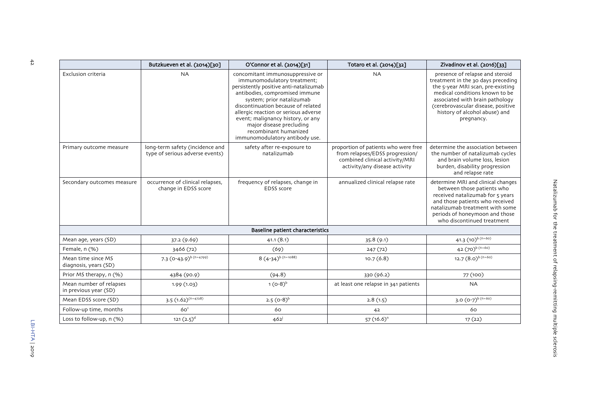|                                                  | Butzkueven et al. (2014)[30]                                       | O'Connor et al. (2014)[31]                                                                                                                                                                                                                                                                                                                                                         | Totaro et al. (2014)[32]                                                                                                                   | Zivadinov et al. (2016)[33]                                                                                                                                                                                                                                          |
|--------------------------------------------------|--------------------------------------------------------------------|------------------------------------------------------------------------------------------------------------------------------------------------------------------------------------------------------------------------------------------------------------------------------------------------------------------------------------------------------------------------------------|--------------------------------------------------------------------------------------------------------------------------------------------|----------------------------------------------------------------------------------------------------------------------------------------------------------------------------------------------------------------------------------------------------------------------|
| Exclusion criteria                               | <b>NA</b>                                                          | concomitant immunosuppressive or<br>immunomodulatory treatment;<br>persistently positive anti-natalizumab<br>antibodies, compromised immune<br>system; prior natalizumab<br>discontinuation because of related<br>allergic reaction or serious adverse<br>event; malignancy history, or any<br>major disease precluding<br>recombinant humanized<br>immunomodulatory antibody use. | <b>NA</b>                                                                                                                                  | presence of relapse and steroid<br>treatment in the 30 days preceding<br>the 5-year MRI scan, pre-existing<br>medical conditions known to be<br>associated with brain pathology<br>(cerebrovascular disease, positive<br>history of alcohol abuse) and<br>pregnancy. |
| Primary outcome measure                          | long-term safety (incidence and<br>type of serious adverse events) | safety after re-exposure to<br>natalizumab                                                                                                                                                                                                                                                                                                                                         | proportion of patients who were free<br>from relapses/EDSS progression/<br>combined clinical activity/MRI<br>activity/any disease activity | determine the association between<br>the number of natalizumab cycles<br>and brain volume loss, lesion<br>burden, disability progression<br>and relapse rate                                                                                                         |
| Secondary outcomes measure                       | occurrence of clinical relapses,<br>change in EDSS score           | frequency of relapses, change in<br>EDSS score                                                                                                                                                                                                                                                                                                                                     | annualized clinical relapse rate                                                                                                           | determine MRI and clinical changes<br>between those patients who<br>received natalizumab for 5 years<br>and those patients who received<br>natalizumab treatment with some<br>periods of honeymoon and those<br>who discontinued treatment                           |
|                                                  |                                                                    | Baseline patient characteristics                                                                                                                                                                                                                                                                                                                                                   |                                                                                                                                            |                                                                                                                                                                                                                                                                      |
| Mean age, years (SD)                             | 37.2 (9.69)                                                        | 41.1(8.1)                                                                                                                                                                                                                                                                                                                                                                          | 35.8 (9.1)                                                                                                                                 | 41.3 $(10)^{b(n=60)}$                                                                                                                                                                                                                                                |
| Female, n (%)                                    | 3466 (72)                                                          | (69)                                                                                                                                                                                                                                                                                                                                                                               | 247(72)                                                                                                                                    | 42 $(70)^{b(n=60)}$                                                                                                                                                                                                                                                  |
| Mean time since MS<br>diagnosis, years (SD)      | 7.3 $(0-43.9)^{b(n=4799)}$                                         | $8(4-34)^{b(n=1088)}$                                                                                                                                                                                                                                                                                                                                                              | 10.7(6.8)                                                                                                                                  | 12.7 $(8.0)^{b(n=60)}$                                                                                                                                                                                                                                               |
| Prior MS therapy, n (%)                          | 4384 (90.9)                                                        | (94.8)                                                                                                                                                                                                                                                                                                                                                                             | 330 (96.2)                                                                                                                                 | 77 (100)                                                                                                                                                                                                                                                             |
| Mean number of relapses<br>in previous year (SD) | 1.99(1.03)                                                         | 1 $(O-8)^{b}$                                                                                                                                                                                                                                                                                                                                                                      | at least one relapse in 341 patients                                                                                                       | <b>NA</b>                                                                                                                                                                                                                                                            |
| Mean EDSS score (SD)                             | $3.5(1.62)^{(n=4728)}$                                             | $2.5 (0-8)^{b}$                                                                                                                                                                                                                                                                                                                                                                    | 2.8(1.5)                                                                                                                                   | 3.0 $(0-7)^{b(n=60)}$                                                                                                                                                                                                                                                |
| Follow-up time, months                           | 60 <sup>c</sup>                                                    | 60                                                                                                                                                                                                                                                                                                                                                                                 | 42                                                                                                                                         | 60                                                                                                                                                                                                                                                                   |
| Loss to follow-up, n (%)                         | $121 (2.5)^d$                                                      | $462^{j}$                                                                                                                                                                                                                                                                                                                                                                          | $57(16.6)^n$                                                                                                                               | 17(22)                                                                                                                                                                                                                                                               |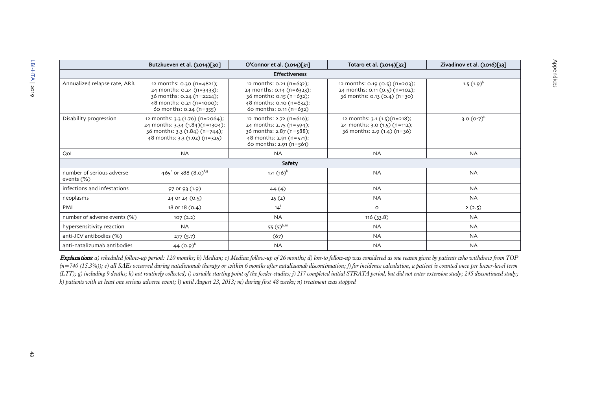|                                         | Butzkueven et al. (2014)[30]                                                                                                                  | O'Connor et al. (2014)[31]                                                                                                                   | Totaro et al. (2014)[32]                                                                           | Zivadinov et al. (2016)[33] |
|-----------------------------------------|-----------------------------------------------------------------------------------------------------------------------------------------------|----------------------------------------------------------------------------------------------------------------------------------------------|----------------------------------------------------------------------------------------------------|-----------------------------|
|                                         |                                                                                                                                               | <b>Effectiveness</b>                                                                                                                         |                                                                                                    |                             |
| Annualized relapse rate, ARR            | 12 months: 0.30 (n=4821);<br>24 months: $0.24$ (n=3433);<br>36 months: 0.24 (n=2224);<br>48 months: 0.21 (n=1000);<br>60 months: 0.24 (n=355) | 12 months: 0.21 (n=632);<br>24 months: $0.14$ (n=6323);<br>$36$ months: 0.15 (n=632);<br>48 months: 0.10 (n=632);<br>60 months: 0.11 (n=632) | 12 months: 0.19 (0.5) (n=203);<br>24 months: 0.11 (0.5) (n=102);<br>$36$ months: 0.13 (0.4) (n=30) | $1.5(1.9)^{b}$              |
| Disability progression                  | 12 months: 3.3 (1.76) (n=2064);<br>24 months: 3.34 (1.84)(n=1304);<br>$36$ months: $3.3$ (1.84) (n=744);<br>48 months: $3.3(1.92)(n=325)$     | 12 months: 2.72 (n=616);<br>24 months: 2.75 (n=594);<br>36 months: 2.87 (n=588);<br>48 months: 2.91 (n=571);<br>60 months: 2.91 (n=561)      | 12 months: $3.1(1.5)(n=218)$ ;<br>24 months: 3.0 (1.5) (n=112);<br>36 months: 2.9 (1.4) (n=36)     | 3.0 $(0-7)^{b}$             |
| QoL                                     | <b>NA</b>                                                                                                                                     | <b>NA</b>                                                                                                                                    | <b>NA</b>                                                                                          | <b>NA</b>                   |
|                                         |                                                                                                                                               | Safety                                                                                                                                       |                                                                                                    |                             |
| number of serious adverse<br>events (%) | 465 <sup>e</sup> or 388 (8.0) <sup>f,g</sup>                                                                                                  | $171(16)^{k}$                                                                                                                                | <b>NA</b>                                                                                          | <b>NA</b>                   |
| infections and infestations             | 97 or 93 (1.9)                                                                                                                                | 44(4)                                                                                                                                        | <b>NA</b>                                                                                          | <b>NA</b>                   |
| neoplasms                               | 24 or 24 (0.5)                                                                                                                                | 25(2)                                                                                                                                        | <b>NA</b>                                                                                          | <b>NA</b>                   |
| PML                                     | 18 or 18 (0.4)                                                                                                                                | 14 <sup>1</sup>                                                                                                                              | $\circ$                                                                                            | 2(2.5)                      |
| number of adverse events (%)            | 107(2.2)                                                                                                                                      | <b>NA</b>                                                                                                                                    | 116(33.8)                                                                                          | <b>NA</b>                   |
| hypersensitivity reaction               | <b>NA</b>                                                                                                                                     | 55 $(5)^{b,m}$                                                                                                                               | <b>NA</b>                                                                                          | <b>NA</b>                   |
| anti-JCV antibodies (%)                 | 277(5.7)                                                                                                                                      | (67)                                                                                                                                         | <b>NA</b>                                                                                          | <b>NA</b>                   |
| anti-natalizumab antibodies             | 44 $(0.9)^h$                                                                                                                                  | <b>NA</b>                                                                                                                                    | <b>NA</b>                                                                                          | <b>NA</b>                   |

Appendices

Appendices

Explanations: a) scheduled follow-up period: 120 months; b) Median; c) Median follow-up of 26 months; d) loss-to follow-up was considered as one reason given by patients who withdrew from TOP  $(n=740 (15.3\%)$ ; e) all SAEs occurred during natalizumab therapy or within 6 months after natalizumab discontinuation; f) for incidence calculation, a patient is counted once per lower-level term (LTT); g) including 9 deaths; h) not routinely collected; i) variable starting point of the feeder-studies; j) 217 completed initial STRATA period, but did not enter extension study; 245 discontinued study; *k) patients with at least one serious adverse event; l) until August 23, 2013; m) during first 48 weeks; n) treatment was stopped*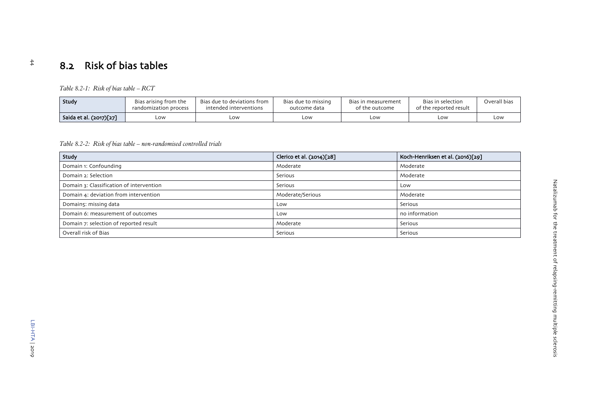# Natalizumab for the treatment of relapsing-remitting multiple sclerosis Natalizumab for the treatment of relapsing-remitting multiple sclerosis

# 8.2 Risk of bias tables

*Table 8.2-1: Risk of bias table – RCT*

| Study                   | Bias arising from the<br>randomization process | Bias due to deviations from<br>intended interventions | Bias due to missing<br>outcome data | Bias in measurement<br>of the outcome | Bias in selection<br>of the reported result | Overall bias |
|-------------------------|------------------------------------------------|-------------------------------------------------------|-------------------------------------|---------------------------------------|---------------------------------------------|--------------|
| Saida et al. (2017)[27] | Low                                            | LOW                                                   | LOW                                 | LOW                                   | LOW                                         | LOW.         |

*Table 8.2-2: Risk of bias table – non-randomised controlled trials*

<span id="page-45-2"></span><span id="page-45-1"></span><span id="page-45-0"></span>

| Study                                    | Clerico et al. (2014)[28] | Koch-Henriksen et al. (2016)[29] |
|------------------------------------------|---------------------------|----------------------------------|
| Domain 1: Confounding                    | Moderate                  | Moderate                         |
| Domain 2: Selection                      | Serious                   | Moderate                         |
| Domain 3: Classification of intervention | Serious                   | Low                              |
| Domain 4: deviation from intervention    | Moderate/Serious          | Moderate                         |
| Domain5: missing data                    | Low                       | Serious                          |
| Domain 6: measurement of outcomes        | Low                       | no information                   |
| Domain 7: selection of reported result   | Moderate                  | Serious                          |
| Overall risk of Bias                     | Serious                   | Serious                          |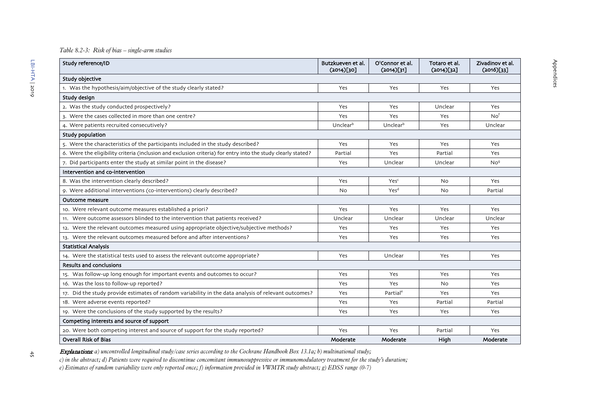## *Table 8.2-3: Risk of bias – single-arm studies*

| Study reference/ID                                                                                           | Butzkueven et al.<br>(2014)[30] | O'Connor et al.<br>(2014)[31] | Totaro et al.<br>(2014)[32] | Zivadinov et al.<br>$(2016)$ [33] |
|--------------------------------------------------------------------------------------------------------------|---------------------------------|-------------------------------|-----------------------------|-----------------------------------|
| Study objective                                                                                              |                                 |                               |                             |                                   |
| 1. Was the hypothesis/aim/objective of the study clearly stated?                                             | Yes                             | Yes                           | Yes                         | Yes                               |
| Study design                                                                                                 |                                 |                               |                             |                                   |
| 2. Was the study conducted prospectively?                                                                    | Yes                             | Yes                           | Unclear                     | Yes                               |
| 3. Were the cases collected in more than one centre?                                                         | Yes                             | Yes                           | Yes                         | No <sup>f</sup>                   |
| 4. Were patients recruited consecutively?                                                                    | Unclearb                        | Unclearb                      | Yes                         | Unclear                           |
| Study population                                                                                             |                                 |                               |                             |                                   |
| 5. Were the characteristics of the participants included in the study described?                             | Yes                             | Yes                           | Yes                         | Yes                               |
| 6. Were the eligibility criteria (inclusion and exclusion criteria) for entry into the study clearly stated? | Partial                         | Yes                           | Partial                     | Yes                               |
| 7. Did participants enter the study at similar point in the disease?                                         | Yes                             | Unclear                       | Unclear                     | No <sup>9</sup>                   |
| Intervention and co-intervention                                                                             |                                 |                               |                             |                                   |
| 8. Was the intervention clearly described?                                                                   | Yes                             | Yesc                          | <b>No</b>                   | Yes                               |
| 9. Were additional interventions (co-interventions) clearly described?                                       | No.                             | Yes <sup>d</sup>              | No                          | Partial                           |
| Outcome measure                                                                                              |                                 |                               |                             |                                   |
| 10. Were relevant outcome measures established a priori?                                                     | Yes                             | Yes                           | Yes                         | Yes                               |
| 11. Were outcome assessors blinded to the intervention that patients received?                               | Unclear                         | Unclear                       | Unclear                     | Unclear                           |
| 12. Were the relevant outcomes measured using appropriate objective/subjective methods?                      | Yes                             | Yes                           | Yes                         | Yes                               |
| 13. Were the relevant outcomes measured before and after interventions?                                      | Yes                             | Yes                           | Yes                         | Yes                               |
| <b>Statistical Analysis</b>                                                                                  |                                 |                               |                             |                                   |
| 14. Were the statistical tests used to assess the relevant outcome appropriate?                              | Yes                             | Unclear                       | Yes                         | Yes                               |
| <b>Results and conclusions</b>                                                                               |                                 |                               |                             |                                   |
| 15. Was follow-up long enough for important events and outcomes to occur?                                    | Yes                             | Yes                           | Yes                         | Yes                               |
| 16. Was the loss to follow-up reported?                                                                      | Yes                             | Yes                           | N <sub>0</sub>              | Yes                               |
| 17. Did the study provide estimates of random variability in the data analysis of relevant outcomes?         | Yes                             | Partial <sup>e</sup>          | Yes                         | Yes                               |
| 18. Were adverse events reported?                                                                            | Yes                             | Yes                           | Partial                     | Partial                           |
| 19. Were the conclusions of the study supported by the results?                                              | Yes                             | Yes                           | Yes                         | Yes                               |
| Competing interests and source of support                                                                    |                                 |                               |                             |                                   |
| 20. Were both competing interest and source of support for the study reported?                               | Yes                             | Yes                           | Partial                     | Yes                               |
| <b>Overall Risk of Bias</b>                                                                                  | Moderate                        | Moderate                      | High                        | Moderate                          |

 $\frac{4}{\sqrt{2}}$ 

<span id="page-46-0"></span>Explanations: *a) uncontrolled longitudinal study/case series according to the Cochrane Handbook Box 13.1a; b) multinational study;*

*c) in the abstract; d) Patients were required to discontinue concomitant immunosuppressive or immunomodulatory treatment for the study's duration;* 

*e) Estimates of random variability were only reported once; f) information provided in VWMTR study abstract; g) EDSS range (0-7)*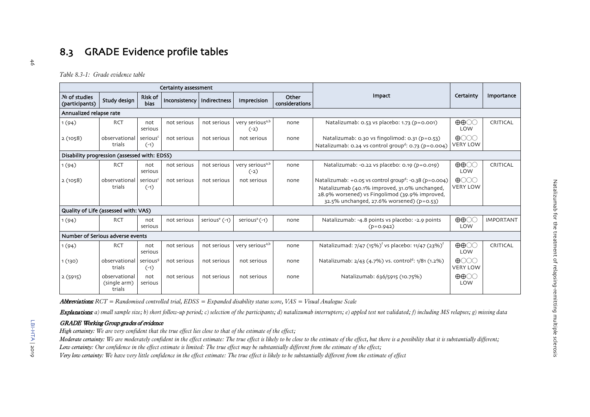# 8.3 GRADE Evidence profile tables

*Table 8.3-1: Grade evidence table*

|                                 |                                              |                                | Certainty assessment         |                 |                                       |                         |                                                                                                                                                                                                                    |                                                      |                  |
|---------------------------------|----------------------------------------------|--------------------------------|------------------------------|-----------------|---------------------------------------|-------------------------|--------------------------------------------------------------------------------------------------------------------------------------------------------------------------------------------------------------------|------------------------------------------------------|------------------|
| No of studies<br>(participants) | Study design                                 | <b>Risk of</b><br><b>bias</b>  | Inconsistency   Indirectness |                 | Imprecision                           | Other<br>considerations | <b>Impact</b>                                                                                                                                                                                                      | Certainty                                            | Importance       |
| Annualized relapse rate         |                                              |                                |                              |                 |                                       |                         |                                                                                                                                                                                                                    |                                                      |                  |
| 1(94)                           | <b>RCT</b>                                   | not<br>serious                 | not serious                  | not serious     | very serious <sup>a,b</sup><br>$(-2)$ | none                    | Natalizumab: 0.53 vs placebo: 1.73 (p=0.001)                                                                                                                                                                       | $\oplus \oplus \odot \odot$<br>LOW                   | CRITICAL         |
| 2(1058)                         | observational<br>trials                      | serious <sup>c</sup><br>$(-1)$ | not serious                  | not serious     | not serious                           | none                    | Natalizumab: 0.30 vs fingolimod: 0.31 (p=0.53)<br>Natalizumab: 0.24 vs control group <sup>d</sup> : 0.73 (p=0.004)                                                                                                 | $\bigoplus$ $\bigodot$ $\bigodot$<br><b>VERY LOW</b> |                  |
|                                 | Disability progression (assessed with: EDSS) |                                |                              |                 |                                       |                         |                                                                                                                                                                                                                    |                                                      |                  |
| 1(94)                           | <b>RCT</b>                                   | not<br>serious                 | not serious                  | not serious     | very serious <sup>a,b</sup><br>$(-2)$ | none                    | Natalizumab: -0.22 vs placebo: 0.19 (p=0.019)                                                                                                                                                                      | $\oplus \oplus \odot \odot$<br>LOW                   | CRITICAL         |
| 2(1058)                         | observational<br>trials                      | serious <sup>c</sup><br>$(-1)$ | not serious                  | not serious     | not serious                           | none                    | Natalizumab: +0.05 vs control group <sup>d</sup> : -0.38 (p=0.004)<br>Natalizumab (40.1% improved, 31.0% unchanged,<br>28.9% worsened) vs Fingolimod (39.9% improved,<br>32.5% unchanged, 27.6% worsened) (p=0.53) | $\bigoplus$ $\bigodot$ $\bigodot$<br><b>VERY LOW</b> |                  |
|                                 | Quality of Life (assessed with: VAS)         |                                |                              |                 |                                       |                         |                                                                                                                                                                                                                    |                                                      |                  |
| 1(94)                           | <b>RCT</b>                                   | not<br>serious                 | not serious                  | serious $e(-1)$ | serious <sup>a</sup> $(-1)$           | none                    | Natalizumab: -4.8 points vs placebo: -2.9 points<br>$(p=0.942)$                                                                                                                                                    | $\oplus \oplus \odot \odot$<br>LOW                   | <b>IMPORTANT</b> |
|                                 | Number of Serious adverse events             |                                |                              |                 |                                       |                         |                                                                                                                                                                                                                    |                                                      |                  |
| 1(94)                           | <b>RCT</b>                                   | not<br>serious                 | not serious                  | not serious     | very serious <sup>a,b</sup>           | none                    | Natalizumad: 7/47 (15%) <sup>f</sup> vs placebo: 11/47 (23%) <sup>f</sup>                                                                                                                                          | $\oplus \oplus \odot \odot$<br>LOW                   | CRITICAL         |
| 1(130)                          | observational<br>trials                      | serious <sup>9</sup><br>$(-1)$ | not serious                  | not serious     | not serious                           | none                    | Natalizumab: 2/43 (4.7%) vs. control <sup>d</sup> : 1/81 (1.2%)                                                                                                                                                    | $\bigoplus$ $\bigodot$ $\bigodot$<br><b>VERY LOW</b> |                  |
| 2(5915)                         | observational<br>(single arm)<br>trials      | not<br>serious                 | not serious                  | not serious     | not serious                           | none                    | Natalizumab: 636/5915 (10.75%)                                                                                                                                                                                     | $\oplus \oplus \odot \odot$<br>LOW                   |                  |

<span id="page-47-1"></span><span id="page-47-0"></span>Abbreviations: *RCT = Randomised controlled trial, EDSS = Expanded disability status score, VAS = Visual Analogue Scale*

Explanations a) small sample size; b) short follow-up period; c) selection of the participants; d) natalizumab interrupters; e) appled test not validated; f) including MS relapses; g) missing data

## GRADE Working Group grades of evidence

*High certainty: We are very confident that the true effect lies close to that of the estimate of the effect;*

*Moderate certainty: We are moderately confident in the effect estimate: The true effect is likely to be close to the estimate of the effect, but there is a possibility that it is substantially different; Low certainty: Our confidence in the effect estimate is limited: The true effect may be substantially different from the estimate of the effect;*

*Very low certainty: We have very little confidence in the effect estimate: The true effect is likely to be substantially different from the estimate of effect*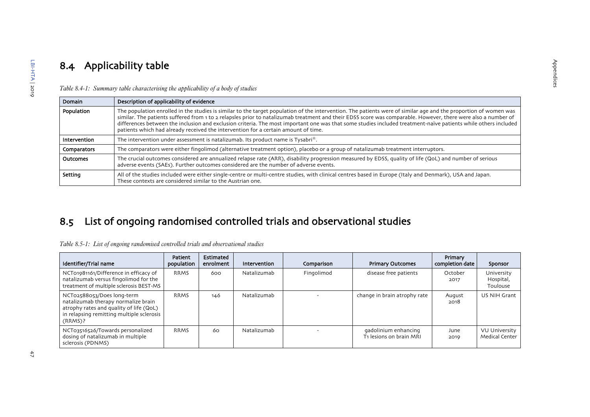# 8.4 Applicability table

| Domain       | Description of applicability of evidence                                                                                                                                                                                                                                                                                                                                                                                                                                                                                                                                                  |
|--------------|-------------------------------------------------------------------------------------------------------------------------------------------------------------------------------------------------------------------------------------------------------------------------------------------------------------------------------------------------------------------------------------------------------------------------------------------------------------------------------------------------------------------------------------------------------------------------------------------|
| Population   | The population enrolled in the studies is similar to the target population of the intervention. The patients were of similar age and the proportion of women was<br>similar. The patients suffered from 1 to 2 relapsles prior to natalizumab treatment and their EDSS score was comparable. However, there were also a number of<br>differences between the inclusion and exclusion criteria. The most important one was that some studies included treatment-naïve patients while others included<br>patients which had already received the intervention for a certain amount of time. |
| Intervention | The intervention under assessment is natalizumab. Its product name is Tysabri®.                                                                                                                                                                                                                                                                                                                                                                                                                                                                                                           |
| Comparators  | The comparators were either fingolimod (alternative treatment option), placebo or a group of natalizumab treatment interruptors.                                                                                                                                                                                                                                                                                                                                                                                                                                                          |
| Outcomes     | The crucial outcomes considered are annualized relapse rate (ARR), disability progression measured by EDSS, quality of life (QoL) and number of serious<br>adverse events (SAEs). Further outcomes considered are the number of adverse events.                                                                                                                                                                                                                                                                                                                                           |
| Setting      | All of the studies included were either single-centre or multi-centre studies, with clinical centres based in Europe (Italy and Denmark), USA and Japan.<br>These contexts are considered similar to the Austrian one.                                                                                                                                                                                                                                                                                                                                                                    |

Appendices

Appendices

*Table 8.4-1: Summary table characterising the applicability of a body of studies*

# 8.5 List of ongoing randomised controlled trials and observational studies

<span id="page-48-0"></span>

| Table 8.5-1: List of ongoing randomised controlled trials and observational studies |  |  |  |  |
|-------------------------------------------------------------------------------------|--|--|--|--|
|                                                                                     |  |  |  |  |

<span id="page-48-3"></span><span id="page-48-2"></span><span id="page-48-1"></span>

| Identifier/Trial name                                                                                                                                                | <b>Patient</b><br>population | Estimated<br>enrolment | Intervention | Comparison | <b>Primary Outcomes</b>                         | Primary<br>completion date | Sponsor                                       |
|----------------------------------------------------------------------------------------------------------------------------------------------------------------------|------------------------------|------------------------|--------------|------------|-------------------------------------------------|----------------------------|-----------------------------------------------|
| NCT01981161/Difference in efficacy of<br>natalizumab versus fingolimod for the<br>treatment of multiple sclerosis BEST-MS                                            | <b>RRMS</b>                  | 600                    | Natalizumab  | Fingolimod | disease free patients                           | October<br>2017            | University<br>Hospital,<br>Toulouse           |
| NCT02588053/Does long-term<br>natalizumab therapy normalize brain<br>atrophy rates and quality of life (QoL)<br>in relapsing remitting multiple sclerosis<br>(RRMS)? | <b>RRMS</b>                  | 146                    | Natalizumab  |            | change in brain atrophy rate                    | August<br>2018             | US NIH Grant                                  |
| NCT03516526/Towards personalized<br>dosing of natalizumab in multiple<br>sclerosis (PDNMS)                                                                           | <b>RRMS</b>                  | 60                     | Natalizumab  |            | gadolinium enhancing<br>T1 lesions on brain MRI | June<br>2019               | <b>VU University</b><br><b>Medical Center</b> |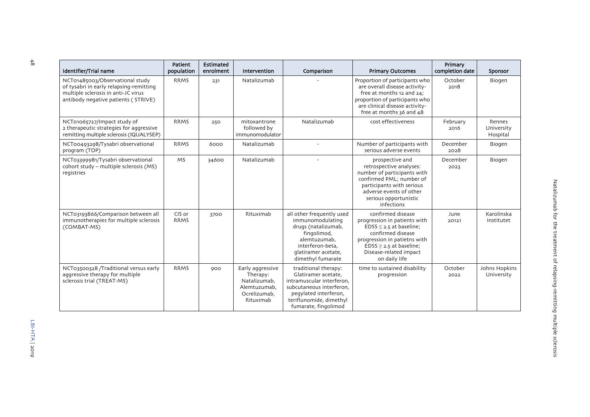| Identifier/Trial name                                                                                                                                    | Patient<br>population | Estimated<br>enrolment | Intervention                                                                              | Comparison                                                                                                                                                                       | <b>Primary Outcomes</b>                                                                                                                                                                                          | Primary<br>completion date | Sponsor                          |
|----------------------------------------------------------------------------------------------------------------------------------------------------------|-----------------------|------------------------|-------------------------------------------------------------------------------------------|----------------------------------------------------------------------------------------------------------------------------------------------------------------------------------|------------------------------------------------------------------------------------------------------------------------------------------------------------------------------------------------------------------|----------------------------|----------------------------------|
| NCT01485003/Observational study<br>of tysabri in early relapsing-remitting<br>multiple sclerosis in anti-JC virus<br>antibody negative patients (STRIVE) | <b>RRMS</b>           | 231                    | Natalizumab                                                                               |                                                                                                                                                                                  | Proportion of participants who<br>are overall disease activity-<br>free at months 12 and 24;<br>proportion of participants who<br>are clinical disease activity-<br>free at months 36 and 48                     | October<br>2018            | Biogen                           |
| NCT01065727/Impact study of<br>2 therapeutic strategies for aggressive<br>remitting multiple sclerosis (IQUALYSEP)                                       | <b>RRMS</b>           | 250                    | mitoxantrone<br>followed by<br>immunomodulator                                            | Natalizumab                                                                                                                                                                      | cost effectiveness                                                                                                                                                                                               | February<br>2016           | Rennes<br>University<br>Hospital |
| NCT00493298/Tysabri observational<br>program (TOP)                                                                                                       | <b>RRMS</b>           | 6000                   | Natalizumab                                                                               |                                                                                                                                                                                  | Number of participants with<br>serious adverse events                                                                                                                                                            | December<br>2028           | Biogen                           |
| NCT03399981/Tysabri observational<br>cohort study - multiple sclerosis (MS)<br>registries                                                                | <b>MS</b>             | 34600                  | Natalizumab                                                                               |                                                                                                                                                                                  | prospective and<br>retrospective analyses:<br>number of participants with<br>confirmed PML: number of<br>participants with serious<br>adverse events of other<br>serious opportunistic<br>infections             | December<br>2023           | Biogen                           |
| NCT03193866/Comparison between all<br>immunotherapies for multiple sclerosis<br>(COMBAT-MS)                                                              | CIS or<br><b>RRMS</b> | 3700                   | Rituximab                                                                                 | all other frequently used<br>immunomodulating<br>drugs (natalizumab,<br>fingolimod,<br>alemtuzumab,<br>interferon-beta.<br>glatiramer acetate,<br>dimethyl fumarate              | confirmed disease<br>progression in patients with<br>$EDSS \leq 2.5$ at baseline;<br>confirmed disease<br>progression in patietns with<br>$EDSS \ge 2.5$ at baseline;<br>Disease-related impact<br>on daily life | June<br>20121              | Karolinska<br>Institutet         |
| NCT03500328 /Traditional versus early<br>aggressive therapy for multiple<br>sclerosis trial (TREAT-MS)                                                   | <b>RRMS</b>           | 900                    | Early aggressive<br>Therapy:<br>Natalizumab,<br>Alemtuzumab,<br>Ocrelizumab,<br>Rituximab | traditional therapy:<br>Glatiramer acetate,<br>intramuscular interferon,<br>subcutaneous interferon.<br>pegylated interferon,<br>teriflunomide, dimethyl<br>fumarate, fingolimod | time to sustained disability<br>progression                                                                                                                                                                      | October<br>2022            | Johns Hopkins<br>University      |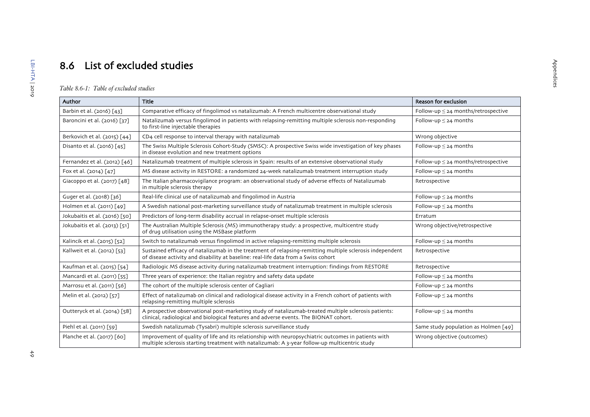# 8.6 List of excluded studies

## *Table 8.6-1: Table of excluded studies*

<span id="page-50-1"></span><span id="page-50-0"></span>

| Author                        | <b>Title</b>                                                                                                                                                                                         | Reason for exclusion                     |
|-------------------------------|------------------------------------------------------------------------------------------------------------------------------------------------------------------------------------------------------|------------------------------------------|
| Barbin et al. (2016) [43]     | Comparative efficacy of fingolimod vs natalizumab: A French multicentre observational study                                                                                                          | Follow-up $\leq$ 24 months/retrospective |
| Baroncini et al. (2016) [37]  | Natalizumab versus fingolimod in patients with relapsing-remitting multiple sclerosis non-responding<br>to first-line injectable therapies                                                           | Follow-up $\leq$ 24 months               |
| Berkovich et al. (2015) [44]  | CD4 cell response to interval therapy with natalizumab                                                                                                                                               | Wrong objective                          |
| Disanto et al. (2016) [45]    | The Swiss Multiple Sclerosis Cohort-Study (SMSC): A prospective Swiss wide investigation of key phases<br>in disease evolution and new treatment options                                             | Follow-up $\leq$ 24 months               |
| Fernandez et al. (2012) [46]  | Natalizumab treatment of multiple sclerosis in Spain: results of an extensive observational study                                                                                                    | Follow-up $\leq$ 24 months/retrospective |
| Fox et al. (2014) [47]        | MS disease activity in RESTORE: a randomized 24-week natalizumab treatment interruption study                                                                                                        | Follow-up $\leq$ 24 months               |
| Giacoppo et al. (2017) [48]   | The Italian pharmacovigilance program: an observational study of adverse effects of Natalizumab<br>in multiple sclerosis therapy                                                                     | Retrospective                            |
| Guger et al. (2018) [36]      | Real-life clinical use of natalizumab and fingolimod in Austria                                                                                                                                      | Follow-up $\leq$ 24 months               |
| Holmen et al. (2011) [49]     | A Swedish national post-marketing surveillance study of natalizumab treatment in multiple sclerosis                                                                                                  | Follow-up $\leq$ 24 months               |
| Jokubaitis et al. (2016) [50] | Predictors of long-term disability accrual in relapse-onset multiple sclerosis                                                                                                                       | Erratum                                  |
| Jokubaitis et al. (2013) [51] | The Australian Multiple Sclerosis (MS) immunotherapy study: a prospective, multicentre study<br>of drug utilisation using the MSBase platform                                                        | Wrong objective/retrospective            |
| Kalincik et al. (2015) [52]   | Switch to natalizumab versus fingolimod in active relapsing-remitting multiple sclerosis                                                                                                             | Follow-up $\leq$ 24 months               |
| Kallweit et al. (2012) [53]   | Sustained efficacy of natalizumab in the treatment of relapsing-remitting multiple sclerosis independent<br>of disease activity and disability at baseline: real-life data from a Swiss cohort       | Retrospective                            |
| Kaufman et al. (2015) [54]    | Radiologic MS disease activity during natalizumab treatment interruption: findings from RESTORE                                                                                                      | Retrospective                            |
| Mancardi et al. (2011) [55]   | Three years of experience: the Italian registry and safety data update                                                                                                                               | Follow-up $\leq$ 24 months               |
| Marrosu et al. (2011) [56]    | The cohort of the multiple sclerosis center of Cagliari                                                                                                                                              | Follow-up $\leq$ 24 months               |
| Melin et al. (2012) [57]      | Effect of natalizumab on clinical and radiological disease activity in a French cohort of patients with<br>relapsing-remitting multiple sclerosis                                                    | Follow-up $\leq$ 24 months               |
| Outteryck et al. (2014) [58]  | A prospective observational post-marketing study of natalizumab-treated multiple sclerosis patients:<br>clinical, radiological and biological features and adverse events. The BIONAT cohort.        | Follow-up $\leq$ 24 months               |
| Piehl et al. (2011) [59]      | Swedish natalizumab (Tysabri) multiple sclerosis surveillance study                                                                                                                                  | Same study population as Holmen [49]     |
| Planche et al. (2017) [60]    | Improvement of quality of life and its relationship with neuropsychiatric outcomes in patients with<br>multiple sclerosis starting treatment with natalizumab: A 3-year follow-up multicentric study | Wrong objective (outcomes)               |

Appendices

Appendices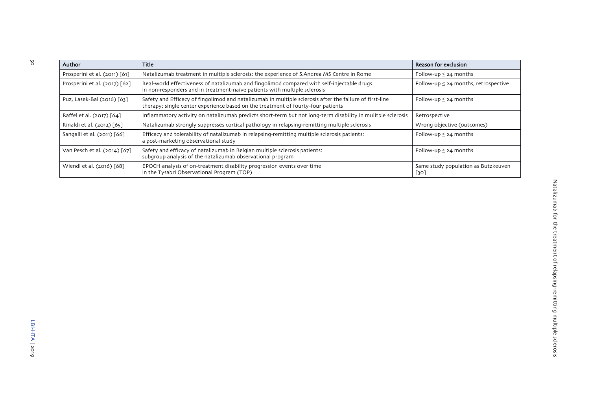| Author                        | Title                                                                                                                                                                                       | Reason for exclusion                        |
|-------------------------------|---------------------------------------------------------------------------------------------------------------------------------------------------------------------------------------------|---------------------------------------------|
| Prosperini et al. (2011) [61] | Natalizumab treatment in multiple sclerosis: the experience of S.Andrea MS Centre in Rome                                                                                                   | Follow-up $\leq$ 24 months                  |
| Prosperini et al. (2017) [62] | Real-world effectiveness of natalizumab and fingolimod compared with self-injectable drugs<br>in non-responders and in treatment-naïve patients with multiple sclerosis                     | Follow-up $\leq$ 24 months, retrospective   |
| Puz, Lasek-Bal (2016) [63]    | Safety and Efficacy of fingolimod and natalizumab in multiple sclerosis after the failure of first-line<br>therapy: single center experience based on the treatment of fourty-four patients | Follow-up $\leq$ 24 months                  |
| Raffel et al. (2017) [64]     | Inflammatory activity on natalizumab predicts short-term but not long-term disability in mulitple sclerosis                                                                                 | Retrospective                               |
| Rinaldi et al. (2012) [65]    | Natalizumab strongly suppresses cortical pathology in relapsing-remitting multiple sclerosis                                                                                                | Wrong objective (outcomes)                  |
| Sangalli et al. (2011) [66]   | Efficacy and tolerability of natalizumab in relapsing-remitting multiple sclerosis patients:<br>a post-marketing observational study                                                        | Follow-up $\leq$ 24 months                  |
| Van Pesch et al. (2014) [67]  | Safety and efficacy of natalizumab in Belgian multiple sclerosis patients:<br>subgroup analysis of the natalizumab observational program                                                    | Follow-up $\leq$ 24 months                  |
| Wiendl et al. (2016) [68]     | EPOCH analysis of on-treatment disability progression events over time<br>in the Tysabri Observational Program (TOP)                                                                        | Same study population as Butzkeuven<br>[30] |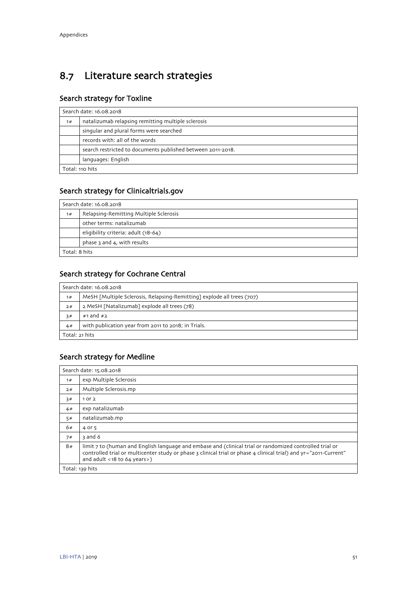# <span id="page-52-0"></span>8.7 Literature search strategies

## Search strategy for Toxline

|                 | Search date: 16.08.2018                                     |  |  |
|-----------------|-------------------------------------------------------------|--|--|
| 1#              | natalizumab relapsing remitting multiple sclerosis          |  |  |
|                 | singular and plural forms were searched                     |  |  |
|                 | records with: all of the words                              |  |  |
|                 | search restricted to documents published between 2011-2018. |  |  |
|                 | languages: English                                          |  |  |
| Total: 110 hits |                                                             |  |  |

## Search strategy for Clinicaltrials.gov

|    | Search date: 16.08.2018                |  |  |
|----|----------------------------------------|--|--|
| 1# | Relapsing-Remitting Multiple Sclerosis |  |  |
|    | other terms: natalizumab               |  |  |
|    | eligibility criteria: adult (18-64)    |  |  |
|    | phase 3 and 4, with results            |  |  |
|    | Total: 8 hits                          |  |  |

## Search strategy for Cochrane Central

|                | Search date: 16.08.2018                                                |  |  |
|----------------|------------------------------------------------------------------------|--|--|
| 1#             | MeSH [Multiple Sclerosis, Relapsing-Remitting] explode all trees (707) |  |  |
| 2#             | 2 MeSH [Natalizumab] explode all trees (78)                            |  |  |
| 3#             | #1 and $#2$                                                            |  |  |
| 4#             | with publication year from 2011 to 2018; in Trials.                    |  |  |
| Total: 21 hits |                                                                        |  |  |

## Search strategy for Medline

|    | Search date: 15.08.2018                                                                                                                                                                                                                                    |
|----|------------------------------------------------------------------------------------------------------------------------------------------------------------------------------------------------------------------------------------------------------------|
| 1# | exp Multiple Sclerosis                                                                                                                                                                                                                                     |
| 2# | Multiple Sclerosis.mp                                                                                                                                                                                                                                      |
| 3# | 10r2                                                                                                                                                                                                                                                       |
| 4# | exp natalizumab                                                                                                                                                                                                                                            |
| 5# | natalizumab.mp                                                                                                                                                                                                                                             |
| 6# | 4 or 5                                                                                                                                                                                                                                                     |
| 7# | 3 and 6                                                                                                                                                                                                                                                    |
| 8# | limit 7 to (human and English language and embase and (clinical trial or randomized controlled trial or<br>controlled trial or multicenter study or phase 3 clinical trial or phase 4 clinical trial) and yr="2011-Current"<br>and adult <18 to 64 years>) |
|    | Total: 139 hits                                                                                                                                                                                                                                            |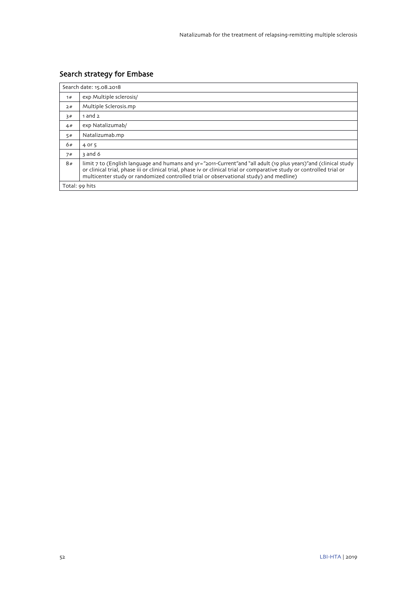## Search strategy for Embase

|                | Search date: 15.08.2018                                                                                                                                                                                                                                                                                                            |
|----------------|------------------------------------------------------------------------------------------------------------------------------------------------------------------------------------------------------------------------------------------------------------------------------------------------------------------------------------|
| 1#             | exp Multiple sclerosis/                                                                                                                                                                                                                                                                                                            |
| 2#             | Multiple Sclerosis.mp                                                                                                                                                                                                                                                                                                              |
| 3#             | 1 and 2                                                                                                                                                                                                                                                                                                                            |
| 4#             | exp Natalizumab/                                                                                                                                                                                                                                                                                                                   |
| 5#             | Natalizumab.mp                                                                                                                                                                                                                                                                                                                     |
| 6#             | 4 or 5                                                                                                                                                                                                                                                                                                                             |
| 7#             | 3 and 6                                                                                                                                                                                                                                                                                                                            |
| 8#             | limit 7 to (English language and humans and yr="2011-Current"and "all adult (19 plus years)"and (clinical study<br>or clinical trial, phase iii or clinical trial, phase iv or clinical trial or comparative study or controlled trial or<br>multicenter study or randomized controlled trial or observational study) and medline) |
| Total: 99 hits |                                                                                                                                                                                                                                                                                                                                    |